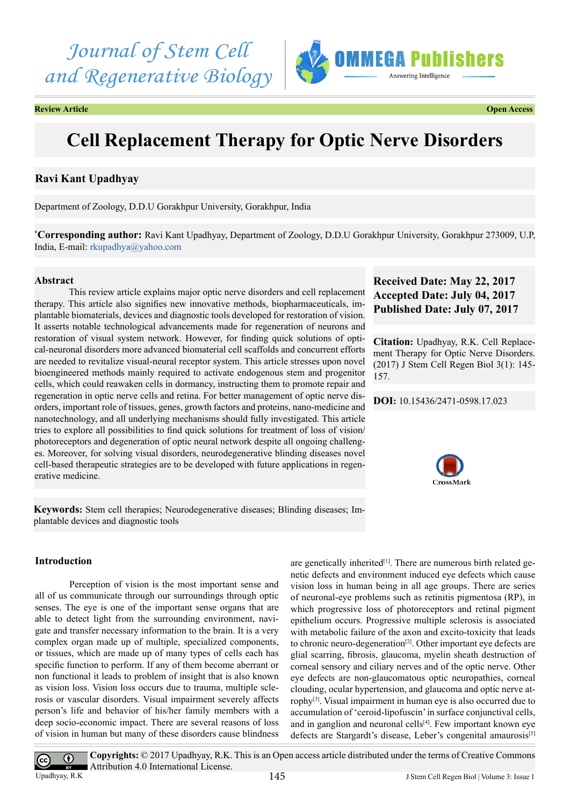*Journal of Stem Cell and Regenerative Biology*



**Review Article Open Access**

# **Cell Replacement Therapy for Optic Nerve Disorders**

# **Ravi Kant Upadhyay**

Department of Zoology, D.D.U Gorakhpur University, Gorakhpur, India

**\* Corresponding author:** Ravi Kant Upadhyay, Department of Zoology, D.D.U Gorakhpur University, Gorakhpur 273009, U.P, India, E-mail: [rkupadhya@yahoo.com](mailto:rkupadhya@yahoo.com)

# **Abstract**

This review article explains major optic nerve disorders and cell replacement therapy. This article also signifies new innovative methods, biopharmaceuticals, implantable biomaterials, devices and diagnostic tools developed for restoration of vision. It asserts notable technological advancements made for regeneration of neurons and restoration of visual system network. However, for finding quick solutions of optical-neuronal disorders more advanced biomaterial cell scaffolds and concurrent efforts are needed to revitalize visual-neural receptor system. This article stresses upon novel bioengineered methods mainly required to activate endogenous stem and progenitor cells, which could reawaken cells in dormancy, instructing them to promote repair and regeneration in optic nerve cells and retina. For better management of optic nerve disorders, important role of tissues, genes, growth factors and proteins, nano-medicine and nanotechnology, and all underlying mechanisms should fully investigated. This article tries to explore all possibilities to find quick solutions for treatment of loss of vision/ photoreceptors and degeneration of optic neural network despite all ongoing challenges. Moreover, for solving visual disorders, neurodegenerative blinding diseases novel cell-based therapeutic strategies are to be developed with future applications in regenerative medicine.

**Keywords:** Stem cell therapies; Neurodegenerative diseases; Blinding diseases; Implantable devices and diagnostic tools

# **Introduction**

Perception of vision is the most important sense and all of us communicate through our surroundings through optic senses. The eye is one of the important sense organs that are able to detect light from the surrounding environment, navigate and transfer necessary information to the brain. It is a very complex organ made up of multiple, specialized components, or tissues, which are made up of many types of cells each has specific function to perform. If any of them become aberrant or non functional it leads to problem of insight that is also known as vision loss. Vision loss occurs due to trauma, multiple sclerosis or vascular disorders. Visual impairment severely affects person's life and behavior of his/her family members with a deep socio-economic impact. There are several reasons of loss of vision in human but many of these disorders cause blindness

are genetically inherited<sup>[\[1\]](#page-9-0)</sup>. There are numerous birth related genetic defects and environment induced eye defects which cause vision loss in human being in all age groups. There are series of neuronal-eye problems such as retinitis pigmentosa (RP), in which progressive loss of photoreceptors and retinal pigment epithelium occurs. Progressive multiple sclerosis is associated with metabolic failure of the axon and excito-toxicity that leads to chronic neuro-degeneration<sup>[2]</sup>. Other important eye defects are glial scarring, fibrosis, glaucoma, myelin sheath destruction of corneal sensory and ciliary nerves and of the optic nerve. Other eye defects are non-glaucomatous optic neuropathies, corneal clouding, ocular hypertension, and glaucoma and optic nerve atrophy[\[3\].](#page-9-2) Visual impairment in human eye is also occurred due to accumulation of 'ceroid-lipofuscin' in surface conjunctival cells, and in ganglion and neuronal cells $[4]$ . Few important known eye defects are Stargardt's disease, Leber's congenital amaurosis<sup>[5]</sup>

# **Received Date: May 22, 2017 Accepted Date: July 04, 2017 Published Date: July 07, 2017**

**Citation:** Upadhyay, R.K. Cell Replacement Therapy for Optic Nerve Disorders. (2017) J Stem Cell Regen Biol 3(1): 145- 157.

# **DOI:** [10.15436/2471-0598.17.](https://doi.org/10.15436/2471-0598.17.0
23)023





**Copyrights:** © 2017 Upadhyay, R.K. This is an Open access article distributed under the terms of Creative Commons Attribution 4.0 International License.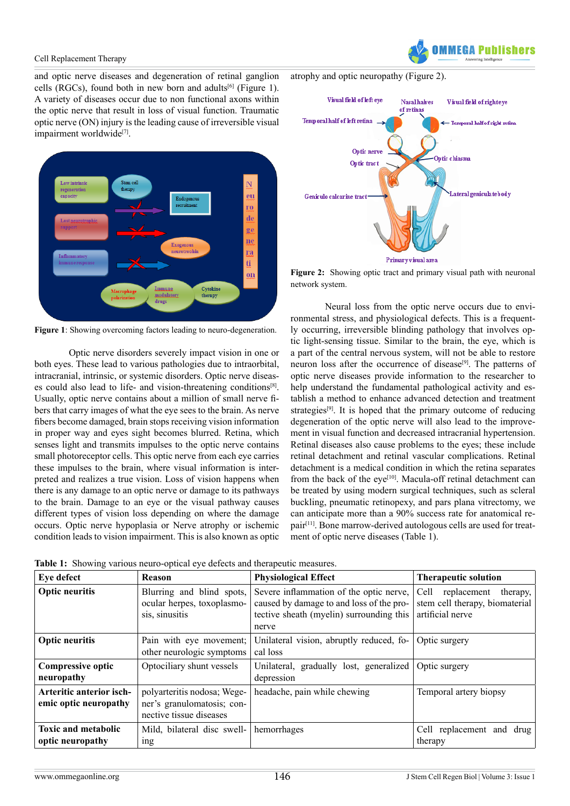and optic nerve diseases and degeneration of retinal ganglion cells (RGCs), found both in new born and adults<sup>[\[6\]](#page-9-5)</sup> (Figure 1). A variety of diseases occur due to non functional axons within the optic nerve that result in loss of visual function. Traumatic optic nerve (ON) injury is the leading cause of irreversible visual impairment worldwide<sup>[7]</sup>.



**Figure 1**: Showing overcoming factors leading to neuro-degeneration.

Optic nerve disorders severely impact vision in one or both eyes. These lead to various pathologies due to intraorbital, intracranial, intrinsic, or systemic disorders. Optic nerve diseas-es could also lead to life- and vision-threatening conditions<sup>[\[8\]](#page-9-7)</sup>. Usually, optic nerve contains about a million of small nerve fibers that carry images of what the eye sees to the brain. As nerve fibers become damaged, brain stops receiving vision information in proper way and eyes sight becomes blurred. Retina, which senses light and transmits impulses to the optic nerve contains small photoreceptor cells. This optic nerve from each eye carries these impulses to the brain, where visual information is interpreted and realizes a true vision. Loss of vision happens when there is any damage to an optic nerve or damage to its pathways to the brain. Damage to an eye or the visual pathway causes different types of vision loss depending on where the damage occurs. Optic nerve hypoplasia or Nerve atrophy or ischemic condition leads to vision impairment. This is also known as optic IFAA Puhlie

atrophy and optic neuropathy (Figure 2).



Figure 2: Showing optic tract and primary visual path with neuronal network system.

Neural loss from the optic nerve occurs due to environmental stress, and physiological defects. This is a frequently occurring, irreversible blinding pathology that involves optic light-sensing tissue. Similar to the brain, the eye, which is a part of the central nervous system, will not be able to restore neuron loss after the occurrence of disease<sup>[\[9\]](#page-9-8)</sup>. The patterns of optic nerve diseases provide information to the researcher to help understand the fundamental pathological activity and establish a method to enhance advanced detection and treatment strategies<sup>[9]</sup>. It is hoped that the primary outcome of reducing degeneration of the optic nerve will also lead to the improvement in visual function and decreased intracranial hypertension. Retinal diseases also cause problems to the eyes; these include retinal detachment and retinal vascular complications. Retinal detachment is a medical condition in which the retina separates from the back of the eye<sup>[10]</sup>. Macula-off retinal detachment can be treated by using modern surgical techniques, such as scleral buckling, pneumatic retinopexy, and pars plana vitrectomy, we can anticipate more than a 90% success rate for anatomical repair<sup>[11]</sup>. Bone marrow-derived autologous cells are used for treatment of optic nerve diseases (Table 1).

| Eye defect                                        | <b>Reason</b>                                                                        | <b>Physiological Effect</b>                                                                                                              | <b>Therapeutic solution</b>                                                           |
|---------------------------------------------------|--------------------------------------------------------------------------------------|------------------------------------------------------------------------------------------------------------------------------------------|---------------------------------------------------------------------------------------|
| <b>Optic neuritis</b>                             | Blurring and blind spots,<br>ocular herpes, toxoplasmo-<br>sis, sinusitis            | Severe inflammation of the optic nerve,<br>caused by damage to and loss of the pro-<br>tective sheath (myelin) surrounding this<br>nerve | Cell<br>replacement<br>therapy,<br>stem cell therapy, biomaterial<br>artificial nerve |
| <b>Optic neuritis</b>                             | Pain with eye movement;<br>other neurologic symptoms                                 | Unilateral vision, abruptly reduced, fo-<br>cal loss                                                                                     | Optic surgery                                                                         |
| <b>Compressive optic</b><br>neuropathy            | Optociliary shunt vessels                                                            | Unilateral, gradually lost, generalized<br>depression                                                                                    | Optic surgery                                                                         |
| Arteritic anterior isch-<br>emic optic neuropathy | polyarteritis nodosa; Wege-<br>ner's granulomatosis; con-<br>nective tissue diseases | headache, pain while chewing                                                                                                             | Temporal artery biopsy                                                                |
| <b>Toxic and metabolic</b><br>optic neuropathy    | Mild, bilateral disc swell-<br>ing                                                   | hemorrhages                                                                                                                              | Cell replacement and drug<br>therapy                                                  |

**Table 1:** Showing various neuro-optical eye defects and therapeutic measures.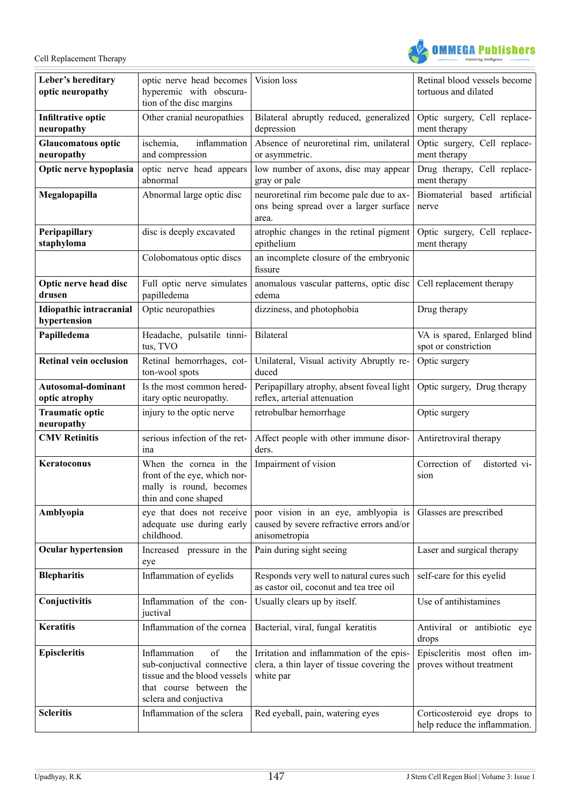

| Leber's hereditary<br>optic neuropathy     | optic nerve head becomes<br>hyperemic with obscura-<br>tion of the disc margins                                                             | Vision loss                                                                                         | Retinal blood vessels become<br>tortuous and dilated         |
|--------------------------------------------|---------------------------------------------------------------------------------------------------------------------------------------------|-----------------------------------------------------------------------------------------------------|--------------------------------------------------------------|
| <b>Infiltrative optic</b><br>neuropathy    | Other cranial neuropathies                                                                                                                  | Bilateral abruptly reduced, generalized<br>depression                                               | Optic surgery, Cell replace-<br>ment therapy                 |
| <b>Glaucomatous optic</b><br>neuropathy    | inflammation<br>ischemia,<br>and compression                                                                                                | Absence of neuroretinal rim, unilateral<br>or asymmetric.                                           | Optic surgery, Cell replace-<br>ment therapy                 |
| Optic nerve hypoplasia                     | optic nerve head appears<br>abnormal                                                                                                        | low number of axons, disc may appear<br>gray or pale                                                | Drug therapy, Cell replace-<br>ment therapy                  |
| Megalopapilla                              | Abnormal large optic disc                                                                                                                   | neuroretinal rim become pale due to ax-<br>ons being spread over a larger surface<br>area.          | Biomaterial based artificial<br>nerve                        |
| Peripapillary<br>staphyloma                | disc is deeply excavated                                                                                                                    | atrophic changes in the retinal pigment<br>epithelium                                               | Optic surgery, Cell replace-<br>ment therapy                 |
|                                            | Colobomatous optic discs                                                                                                                    | an incomplete closure of the embryonic<br>fissure                                                   |                                                              |
| Optic nerve head disc<br>drusen            | Full optic nerve simulates<br>papilledema                                                                                                   | anomalous vascular patterns, optic disc<br>edema                                                    | Cell replacement therapy                                     |
| Idiopathic intracranial<br>hypertension    | Optic neuropathies                                                                                                                          | dizziness, and photophobia                                                                          | Drug therapy                                                 |
| Papilledema                                | Headache, pulsatile tinni-<br>tus, TVO                                                                                                      | Bilateral                                                                                           | VA is spared, Enlarged blind<br>spot or constriction         |
| <b>Retinal vein occlusion</b>              | Retinal hemorrhages, cot-<br>ton-wool spots                                                                                                 | Unilateral, Visual activity Abruptly re-<br>duced                                                   | Optic surgery                                                |
| <b>Autosomal-dominant</b><br>optic atrophy | Is the most common hered-<br>itary optic neuropathy.                                                                                        | Peripapillary atrophy, absent foveal light<br>reflex, arterial attenuation                          | Optic surgery, Drug therapy                                  |
| <b>Traumatic optic</b><br>neuropathy       | injury to the optic nerve                                                                                                                   | retrobulbar hemorrhage                                                                              | Optic surgery                                                |
| <b>CMV Retinitis</b>                       | serious infection of the ret-<br>ina                                                                                                        | Affect people with other immune disor-<br>ders.                                                     | Antiretroviral therapy                                       |
| Keratoconus                                | When the cornea in the<br>front of the eye, which nor-<br>mally is round, becomes<br>thin and cone shaped                                   | Impairment of vision                                                                                | Correction of<br>distorted vi-<br>sion                       |
| Amblyopia                                  | eye that does not receive<br>adequate use during early<br>childhood.                                                                        | poor vision in an eye, amblyopia is<br>caused by severe refractive errors and/or<br>anisometropia   | Glasses are prescribed                                       |
| <b>Ocular hypertension</b>                 | Increased pressure in the<br>eye                                                                                                            | Pain during sight seeing                                                                            | Laser and surgical therapy                                   |
| <b>Blepharitis</b>                         | Inflammation of eyelids                                                                                                                     | Responds very well to natural cures such<br>as castor oil, coconut and tea tree oil                 | self-care for this eyelid                                    |
| Conjuctivitis                              | Inflammation of the con-<br>juctival                                                                                                        | Usually clears up by itself.                                                                        | Use of antihistamines                                        |
| <b>Keratitis</b>                           | Inflammation of the cornea                                                                                                                  | Bacterial, viral, fungal keratitis                                                                  | Antiviral or antibiotic eye<br>drops                         |
| <b>Episcleritis</b>                        | Inflammation<br>of<br>the<br>sub-conjuctival connective<br>tissue and the blood vessels<br>that course between the<br>sclera and conjuctiva | Irritation and inflammation of the epis-<br>clera, a thin layer of tissue covering the<br>white par | Episcleritis most often im-<br>proves without treatment      |
| <b>Scleritis</b>                           | Inflammation of the sclera                                                                                                                  | Red eyeball, pain, watering eyes                                                                    | Corticosteroid eye drops to<br>help reduce the inflammation. |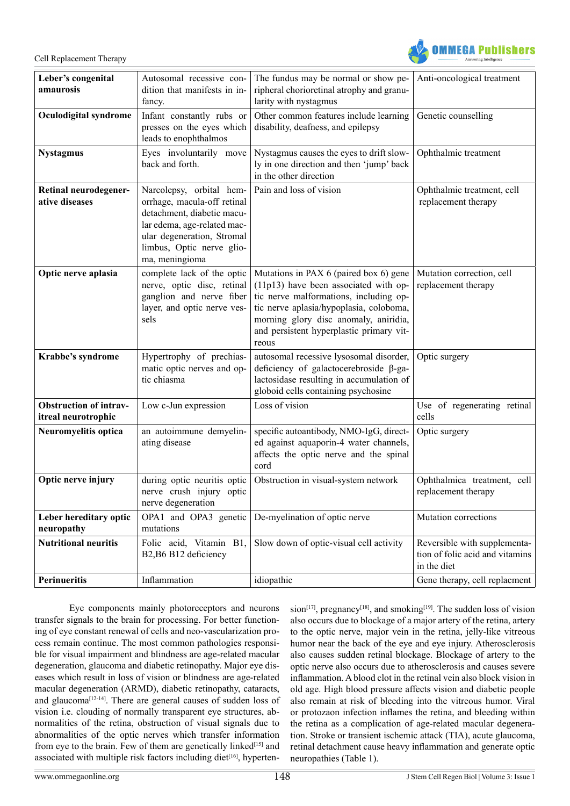

| Leber's congenital<br>amaurosis                      | Autosomal recessive con-<br>dition that manifests in in-<br>fancy.                                                                                                                                | The fundus may be normal or show pe-<br>ripheral chorioretinal atrophy and granu-<br>larity with nystagmus                                                                                                                                                         | Anti-oncological treatment                                                     |
|------------------------------------------------------|---------------------------------------------------------------------------------------------------------------------------------------------------------------------------------------------------|--------------------------------------------------------------------------------------------------------------------------------------------------------------------------------------------------------------------------------------------------------------------|--------------------------------------------------------------------------------|
| Oculodigital syndrome                                | Infant constantly rubs or<br>presses on the eyes which<br>leads to enophthalmos                                                                                                                   | Other common features include learning<br>disability, deafness, and epilepsy                                                                                                                                                                                       | Genetic counselling                                                            |
| <b>Nystagmus</b>                                     | Eyes involuntarily move<br>back and forth.                                                                                                                                                        | Nystagmus causes the eyes to drift slow-<br>ly in one direction and then 'jump' back<br>in the other direction                                                                                                                                                     | Ophthalmic treatment                                                           |
| Retinal neurodegener-<br>ative diseases              | Narcolepsy, orbital hem-<br>orrhage, macula-off retinal<br>detachment, diabetic macu-<br>lar edema, age-related mac-<br>ular degeneration, Stromal<br>limbus, Optic nerve glio-<br>ma, meningioma | Pain and loss of vision                                                                                                                                                                                                                                            | Ophthalmic treatment, cell<br>replacement therapy                              |
| Optic nerve aplasia                                  | complete lack of the optic<br>nerve, optic disc, retinal<br>ganglion and nerve fiber<br>layer, and optic nerve ves-<br>sels                                                                       | Mutations in PAX 6 (paired box 6) gene<br>(11p13) have been associated with op-<br>tic nerve malformations, including op-<br>tic nerve aplasia/hypoplasia, coloboma,<br>morning glory disc anomaly, aniridia,<br>and persistent hyperplastic primary vit-<br>reous | Mutation correction, cell<br>replacement therapy                               |
| Krabbe's syndrome                                    | Hypertrophy of prechias-<br>matic optic nerves and op-<br>tic chiasma                                                                                                                             | autosomal recessive lysosomal disorder,<br>deficiency of galactocerebroside $\beta$ -ga-<br>lactosidase resulting in accumulation of<br>globoid cells containing psychosine                                                                                        | Optic surgery                                                                  |
| <b>Obstruction of intrav-</b><br>itreal neurotrophic | Low c-Jun expression                                                                                                                                                                              | Loss of vision                                                                                                                                                                                                                                                     | Use of regenerating retinal<br>cells                                           |
| Neuromyelitis optica                                 | an autoimmune demyelin-<br>ating disease                                                                                                                                                          | specific autoantibody, NMO-IgG, direct-<br>ed against aquaporin-4 water channels,<br>affects the optic nerve and the spinal<br>cord                                                                                                                                | Optic surgery                                                                  |
| Optic nerve injury                                   | during optic neuritis optic<br>nerve crush injury optic<br>nerve degeneration                                                                                                                     | Obstruction in visual-system network                                                                                                                                                                                                                               | Ophthalmica treatment, cell<br>replacement therapy                             |
| Leber hereditary optic<br>neuropathy                 | OPA1 and OPA3 genetic<br>mutations                                                                                                                                                                | De-myelination of optic nerve                                                                                                                                                                                                                                      | Mutation corrections                                                           |
| <b>Nutritional neuritis</b>                          | Folic acid, Vitamin B1,<br>B2,B6 B12 deficiency                                                                                                                                                   | Slow down of optic-visual cell activity                                                                                                                                                                                                                            | Reversible with supplementa-<br>tion of folic acid and vitamins<br>in the diet |
| Perinueritis                                         | Inflammation                                                                                                                                                                                      | idiopathic                                                                                                                                                                                                                                                         | Gene therapy, cell replacment                                                  |

Eye components mainly photoreceptors and neurons transfer signals to the brain for processing. For better functioning of eye constant renewal of cells and neo-vascularization process remain continue. The most common pathologies responsible for visual impairment and blindness are age-related macular degeneration, glaucoma and diabetic retinopathy. Major eye diseases which result in loss of vision or blindness are age-related macular degeneration (ARMD), diabetic retinopathy, cataracts, and glaucoma<sup>[12-14]</sup>. There are general causes of sudden loss of vision i.e. clouding of normally transparent eye structures, abnormalities of the retina, obstruction of visual signals due to abnormalities of the optic nerves which transfer information from eye to the brain. Few of them are genetically linked $[15]$  and associated with multiple risk factors including diet $[16]$ , hypertension<sup>[17]</sup>, pregnancy<sup>[\[18\]](#page-9-15)</sup>, and smoking<sup>[19]</sup>. The sudden loss of vision also occurs due to blockage of a major artery of the retina, artery to the optic nerve, major vein in the retina, jelly-like vitreous humor near the back of the eye and eye injury. Atherosclerosis also causes sudden retinal blockage. Blockage of artery to the optic nerve also occurs due to atherosclerosis and causes severe inflammation. A blood clot in the retinal vein also block vision in old age. High blood pressure affects vision and diabetic people also remain at risk of bleeding into the vitreous humor. Viral or protozaon infection inflames the retina, and bleeding within the retina as a complication of age-related macular degeneration. Stroke or transient ischemic attack (TIA), acute glaucoma, retinal detachment cause heavy inflammation and generate optic neuropathies (Table 1).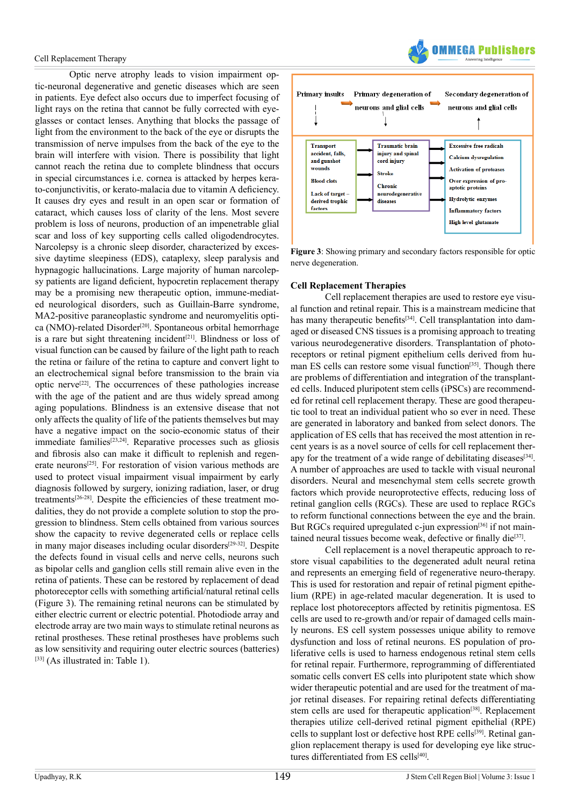Optic nerve atrophy leads to vision impairment optic-neuronal degenerative and genetic diseases which are seen in patients. Eye defect also occurs due to imperfect focusing of light rays on the retina that cannot be fully corrected with eyeglasses or contact lenses. Anything that blocks the passage of light from the environment to the back of the eye or disrupts the transmission of nerve impulses from the back of the eye to the brain will interfere with vision. There is possibility that light cannot reach the retina due to complete blindness that occurs in special circumstances i.e. cornea is attacked by herpes kerato-conjunctivitis, or kerato-malacia due to vitamin A deficiency. It causes dry eyes and result in an open scar or formation of cataract, which causes loss of clarity of the lens. Most severe problem is loss of neurons, production of an impenetrable glial scar and loss of key supporting cells called oligodendrocytes. Narcolepsy is a chronic sleep disorder, characterized by excessive daytime sleepiness (EDS), cataplexy, sleep paralysis and hypnagogic hallucinations. Large majority of human narcolepsy patients are ligand deficient, hypocretin replacement therapy may be a promising new therapeutic option, immune-mediated neurological disorders, such as Guillain-Barre syndrome, MA2-positive paraneoplastic syndrome and neuromyelitis optica (NMO)-related Disorder<sup>[20]</sup>. Spontaneous orbital hemorrhage is a rare but sight threatening incident<sup>[\[21\]](#page-9-18)</sup>. Blindness or loss of visual function can be caused by failure of the light path to reach the retina or failure of the retina to capture and convert light to an electrochemical signal before transmission to the brain via optic nerv[e\[22\].](#page-9-19) The occurrences of these pathologies increase with the age of the patient and are thus widely spread among aging populations. Blindness is an extensive disease that not only affects the quality of life of the patients themselves but may have a negative impact on the socio-economic status of their immediate families<sup>[23,24]</sup>. Reparative processes such as gliosis and fibrosis also can make it difficult to replenish and regenerate neurons<sup>[25]</sup>. For restoration of vision various methods are used to protect visual impairment visual impairment by early diagnosis followed by surgery, ionizing radiation, laser, or drug treatments[\[26-28\].](#page-9-22) Despite the efficiencies of these treatment modalities, they do not provide a complete solution to stop the progression to blindness. Stem cells obtained from various sources show the capacity to revive degenerated cells or replace cells in many major diseases including ocular disorders<sup>[29-32]</sup>. Despite the defects found in visual cells and nerve cells, neurons such as bipolar cells and ganglion cells still remain alive even in the retina of patients. These can be restored by replacement of dead photoreceptor cells with something artificial/natural retinal cells (Figure 3). The remaining retinal neurons can be stimulated by either electric current or electric potential. Photodiode array and electrode array are two main ways to stimulate retinal neurons as retinal prostheses. These retinal prostheses have problems such as low sensitivity and requiring outer electric sources (batteries) [\[33\]](#page-9-24) (As illustrated in: Table 1).





**Figure 3**: Showing primary and secondary factors responsible for optic nerve degeneration.

# **Cell Replacement Therapies**

Cell replacement therapies are used to restore eye visual function and retinal repair. This is a mainstream medicine that has many therapeutic benefits<sup>[\[34\]](#page-10-0)</sup>. Cell transplantation into damaged or diseased CNS tissues is a promising approach to treating various neurodegenerative disorders. Transplantation of photoreceptors or retinal pigment epithelium cells derived from human ES cells can restore some visual function<sup>[35]</sup>. Though there are problems of differentiation and integration of the transplanted cells. Induced pluripotent stem cells (iPSCs) are recommended for retinal cell replacement therapy. These are good therapeutic tool to treat an individual patient who so ever in need. These are generated in laboratory and banked from select donors. The application of ES cells that has received the most attention in recent years is as a novel source of cells for cell replacement therapy for the treatment of a wide range of debilitating diseases $[34]$ . A number of approaches are used to tackle with visual neuronal disorders. Neural and mesenchymal stem cells secrete growth factors which provide neuroprotective effects, reducing loss of retinal ganglion cells (RGCs). These are used to replace RGCs to reform functional connections between the eye and the brain. But RGCs required upregulated c-jun expression<sup>[\[36\]](#page-10-2)</sup> if not maintained neural tissues become weak, defective or finally die<sup>[37]</sup>.

Cell replacement is a novel therapeutic approach to restore visual capabilities to the degenerated adult neural retina and represents an emerging field of regenerative neuro-therapy. This is used for restoration and repair of retinal pigment epithelium (RPE) in age-related macular degeneration. It is used to replace lost photoreceptors affected by retinitis pigmentosa. ES cells are used to re-growth and/or repair of damaged cells mainly neurons. ES cell system possesses unique ability to remove dysfunction and loss of retinal neurons. ES population of proliferative cells is used to harness endogenous retinal stem cells for retinal repair. Furthermore, reprogramming of differentiated somatic cells convert ES cells into pluripotent state which show wider therapeutic potential and are used for the treatment of major retinal diseases. For repairing retinal defects differentiating stem cells are used for therapeutic application<sup>[\[38\]](#page-10-4)</sup>. Replacement therapies utilize cell-derived retinal pigment epithelial (RPE) cells to supplant lost or defective host RPE cells<sup>[\[39\]](#page-10-5)</sup>. Retinal ganglion replacement therapy is used for developing eye like structures differentiated from ES cell[s\[40\].](#page-10-6)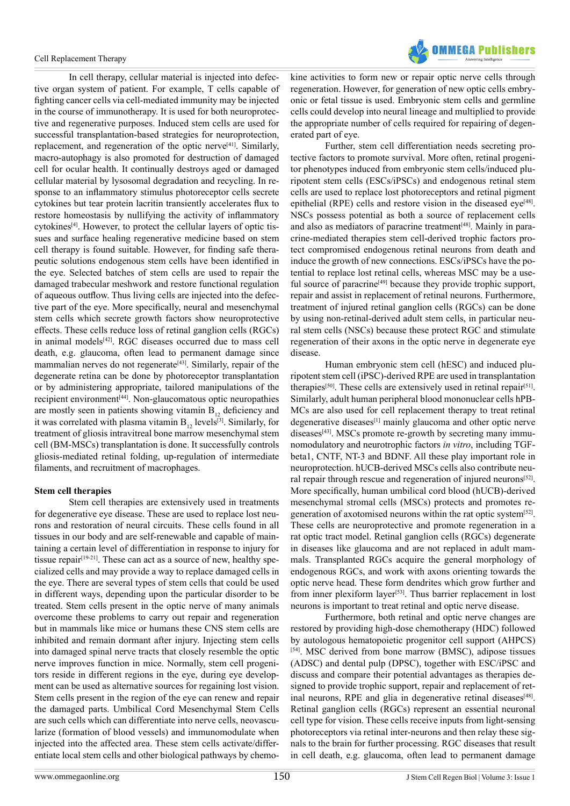

In cell therapy, cellular material is injected into defective organ system of patient. For example, T cells capable of fighting cancer cells via cell-mediated immunity may be injected in the course of immunotherapy. It is used for both neuroprotective and regenerative purposes. Induced stem cells are used for successful transplantation-based strategies for neuroprotection, replacement, and regeneration of the optic nerve<sup>[\[41\]](#page-10-7)</sup>. Similarly, macro-autophagy is also promoted for destruction of damaged cell for ocular health. It continually destroys aged or damaged cellular material by lysosomal degradation and recycling. In response to an inflammatory stimulus photoreceptor cells secrete cytokines but tear protein lacritin transiently accelerates flux to restore homeostasis by nullifying the activity of inflammatory cytokines<sup>[4]</sup>. However, to protect the cellular layers of optic tissues and surface healing regenerative medicine based on stem cell therapy is found suitable. However, for finding safe therapeutic solutions endogenous stem cells have been identified in the eye. Selected batches of stem cells are used to repair the damaged trabecular meshwork and restore functional regulation of aqueous outflow. Thus living cells are injected into the defective part of the eye. More specifically, neural and mesenchymal stem cells which secrete growth factors show neuroprotective effects. These cells reduce loss of retinal ganglion cells (RGCs) in animal models<sup>[\[42\]](#page-10-8)</sup>. RGC diseases occurred due to mass cell death, e.g. glaucoma, often lead to permanent damage since mammalian nerves do not regenerate<sup>[43]</sup>. Similarly, repair of the degenerate retina can be done by photoreceptor transplantation or by administering appropriate, tailored manipulations of the recipient environment<sup>[44]</sup>. Non-glaucomatous optic neuropathies are mostly seen in patients showing vitamin  $B_{12}$  deficiency and it was correlated with plasma vitamin  $B_{12}$  levels<sup>[3]</sup>. Similarly, for treatment of gliosis intravitreal bone marrow mesenchymal stem cell (BM-MSCs) transplantation is done. It successfully controls gliosis-mediated retinal folding, up-regulation of intermediate filaments, and recruitment of macrophages.

# **Stem cell therapies**

Stem cell therapies are extensively used in treatments for degenerative eye disease. These are used to replace lost neurons and restoration of neural circuits. These cells found in all tissues in our body and are self-renewable and capable of maintaining a certain level of differentiation in response to injury for tissue repair $[19-21]$ . These can act as a source of new, healthy specialized cells and may provide a way to replace damaged cells in the eye. There are several types of stem cells that could be used in different ways, depending upon the particular disorder to be treated. Stem cells present in the optic nerve of many animals overcome these problems to carry out repair and regeneration but in mammals like mice or humans these CNS stem cells are inhibited and remain dormant after injury. Injecting stem cells into damaged spinal nerve tracts that closely resemble the optic nerve improves function in mice. Normally, stem cell progenitors reside in different regions in the eye, during eye development can be used as alternative sources for regaining lost vision. Stem cells present in the region of the eye can renew and repair the damaged parts. Umbilical Cord Mesenchymal Stem Cells are such cells which can differentiate into nerve cells, neovascularize (formation of blood vessels) and immunomodulate when injected into the affected area. These stem cells activate/differentiate local stem cells and other biological pathways by chemo-

kine activities to form new or repair optic nerve cells through regeneration. However, for generation of new optic cells embryonic or fetal tissue is used. Embryonic stem cells and germline cells could develop into neural lineage and multiplied to provide the appropriate number of cells required for repairing of degenerated part of eye.

Further, stem cell differentiation needs secreting protective factors to promote survival. More often, retinal progenitor phenotypes induced from embryonic stem cells/induced pluripotent stem cells (ESCs/iPSCs) and endogenous retinal stem cells are used to replace lost photoreceptors and retinal pigment epithelial (RPE) cells and restore vision in the diseased eye<sup>[\[48\]](#page-10-11)</sup>. NSCs possess potential as both a source of replacement cells and also as mediators of paracrine treatment<sup>[\[48\]](#page-10-11)</sup>. Mainly in paracrine-mediated therapies stem cell-derived trophic factors protect compromised endogenous retinal neurons from death and induce the growth of new connections. ESCs/iPSCs have the potential to replace lost retinal cells, whereas MSC may be a useful source of paracrine<sup>[49]</sup> because they provide trophic support, repair and assist in replacement of retinal neurons. Furthermore, treatment of injured retinal ganglion cells (RGCs) can be done by using non-retinal-derived adult stem cells, in particular neural stem cells (NSCs) because these protect RGC and stimulate regeneration of their axons in the optic nerve in degenerate eye disease.

Human embryonic stem cell (hESC) and induced pluripotent stem cell (iPSC)-derived RPE are used in transplantation therapies<sup>[\[50\]](#page-10-13)</sup>. These cells are extensively used in retinal repair<sup>[51]</sup>. Similarly, adult human peripheral blood mononuclear cells hPB-MCs are also used for cell replacement therapy to treat retinal degenerative diseases<sup>[\[1\]](#page-9-0)</sup> mainly glaucoma and other optic nerve  $diseases^{[43]}$ . MSCs promote re-growth by secreting many immunomodulatory and neurotrophic factors *in vitro*, including TGFbeta1, CNTF, NT-3 and BDNF. All these play important role in neuroprotection. hUCB-derived MSCs cells also contribute neural repair through rescue and regeneration of injured neurons<sup>[52]</sup>. More specifically, human umbilical cord blood (hUCB)-derived mesenchymal stromal cells (MSCs) protects and promotes regeneration of axotomised neurons within the rat optic syste[m\[52\].](#page-10-15) These cells are neuroprotective and promote regeneration in a rat optic tract model. Retinal ganglion cells (RGCs) degenerate in diseases like glaucoma and are not replaced in adult mammals. Transplanted RGCs acquire the general morphology of endogenous RGCs, and work with axons orienting towards the optic nerve head. These form dendrites which grow further and from inner plexiform layer<sup>[53]</sup>. Thus barrier replacement in lost neurons is important to treat retinal and optic nerve disease.

Furthermore, both retinal and optic nerve changes are restored by providing high-dose chemotherapy (HDC) followed by autologous hematopoietic progenitor cell support (AHPCS) [\[54\]](#page-10-17). MSC derived from bone marrow (BMSC), adipose tissues (ADSC) and dental pulp (DPSC), together with ESC/iPSC and discuss and compare their potential advantages as therapies designed to provide trophic support, repair and replacement of ret-inal neurons, RPE and glia in degenerative retinal diseases<sup>[\[48\]](#page-10-11)</sup>. Retinal ganglion cells (RGCs) represent an essential neuronal cell type for vision. These cells receive inputs from light-sensing photoreceptors via retinal inter-neurons and then relay these signals to the brain for further processing. RGC diseases that result in cell death, e.g. glaucoma, often lead to permanent damage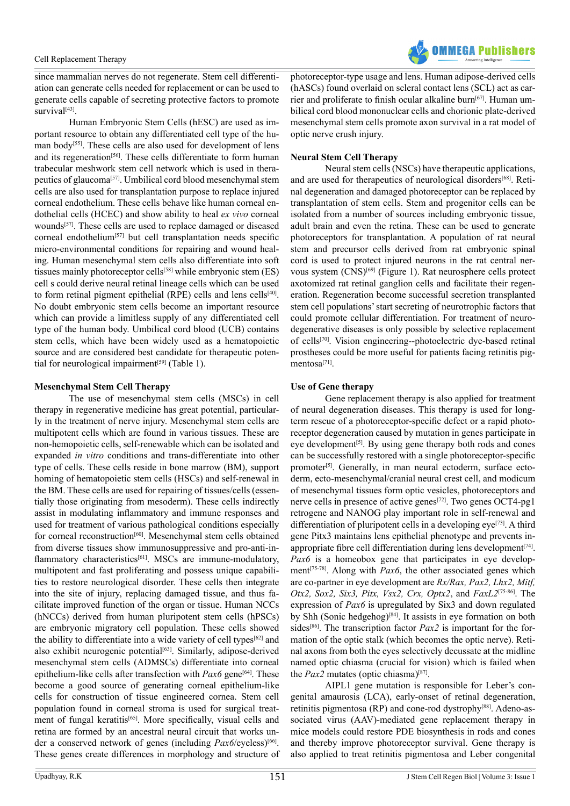

since mammalian nerves do not regenerate. Stem cell differentiation can generate cells needed for replacement or can be used to generate cells capable of secreting protective factors to promote survival<sup>[43]</sup>.

Human Embryonic Stem Cells (hESC) are used as important resource to obtain any differentiated cell type of the human body<sup>[55]</sup>. These cells are also used for development of lens and its regeneration<sup>[56]</sup>. These cells differentiate to form human trabecular meshwork stem cell network which is used in therapeutics of glaucom[a\[57\]](#page-10-20). Umbilical cord blood mesenchymal stem cells are also used for transplantation purpose to replace injured corneal endothelium. These cells behave like human corneal endothelial cells (HCEC) and show ability to heal *ex vivo* corneal wounds<sup>[57]</sup>. These cells are used to replace damaged or diseased corneal endothelium<sup>[\[57\]](#page-10-20)</sup> but cell transplantation needs specific micro-environmental conditions for repairing and wound healing. Human mesenchymal stem cells also differentiate into soft tissues mainly photoreceptor cells<sup>[\[58\]](#page-10-21)</sup> while embryonic stem (ES) cell s could derive neural retinal lineage cells which can be used to form retinal pigment epithelial (RPE) cells and lens cell[s\[40\]](#page-10-6). No doubt embryonic stem cells become an important resource which can provide a limitless supply of any differentiated cell type of the human body. Umbilical cord blood (UCB) contains stem cells, which have been widely used as a hematopoietic source and are considered best candidate for therapeutic potential for neurological impairment $[59]$  (Table 1).

# **Mesenchymal Stem Cell Therapy**

The use of mesenchymal stem cells (MSCs) in cell therapy in regenerative medicine has great potential, particularly in the treatment of nerve injury. Mesenchymal stem cells are multipotent cells which are found in various tissues. These are non-hemopoietic cells, self-renewable which can be isolated and expanded *in vitro* conditions and trans-differentiate into other type of cells. These cells reside in bone marrow (BM), support homing of hematopoietic stem cells (HSCs) and self-renewal in the BM. These cells are used for repairing of tissues/cells (essentially those originating from mesoderm). These cells indirectly assist in modulating inflammatory and immune responses and used for treatment of various pathological conditions especially for corneal reconstruction<sup>[60]</sup>. Mesenchymal stem cells obtained from diverse tissues show immunosuppressive and pro-anti-inflammatory characteristics<sup>[61]</sup>. MSCs are immune-modulatory, multipotent and fast proliferating and possess unique capabilities to restore neurological disorder. These cells then integrate into the site of injury, replacing damaged tissue, and thus facilitate improved function of the organ or tissue. Human NCCs (hNCCs) derived from human pluripotent stem cells (hPSCs) are embryonic migratory cell population. These cells showed the ability to differentiate into a wide variety of cell types<sup>[62]</sup> and also exhibit neurogenic potential<sup>[\[63\]](#page-10-26)</sup>. Similarly, adipose-derived mesenchymal stem cells (ADMSCs) differentiate into corneal epithelium-like cells after transfection with *Pax6* gene<sup>[64]</sup>. These become a good source of generating corneal epithelium-like cells for construction of tissue engineered cornea. Stem cell population found in corneal stroma is used for surgical treat-ment of fungal keratitis<sup>[\[65\]](#page-10-28)</sup>. More specifically, visual cells and retina are formed by an ancestral neural circuit that works under a conserved network of genes (including *Pax6*/eyeless)<sup>[\[66\]](#page-10-29)</sup>. These genes create differences in morphology and structure of

photoreceptor-type usage and lens. Human adipose-derived cells (hASCs) found overlaid on scleral contact lens (SCL) act as car-rier and proliferate to finish ocular alkaline burn<sup>[\[67\]](#page-11-0)</sup>. Human umbilical cord blood mononuclear cells and chorionic plate-derived mesenchymal stem cells promote axon survival in a rat model of optic nerve crush injury.

# **Neural Stem Cell Therapy**

Neural stem cells (NSCs) have therapeutic applications, and are used for therapeutics of neurological disorders<sup>[\[68\]](#page-11-1)</sup>. Retinal degeneration and damaged photoreceptor can be replaced by transplantation of stem cells. Stem and progenitor cells can be isolated from a number of sources including embryonic tissue, adult brain and even the retina. These can be used to generate photoreceptors for transplantation. A population of rat neural stem and precursor cells derived from rat embryonic spinal cord is used to protect injured neurons in the rat central nervous system (CNS[\)\[69\]](#page-11-2) (Figure 1). Rat neurosphere cells protect axotomized rat retinal ganglion cells and facilitate their regeneration. Regeneration become successful secretion transplanted stem cell populations' start secreting of neurotrophic factors that could promote cellular differentiation. For treatment of neurodegenerative diseases is only possible by selective replacement of cell[s\[70\].](#page-11-3) Vision engineering--photoelectric dye-based retinal prostheses could be more useful for patients facing retinitis pigmentosa<sup>[71]</sup>.

# **Use of Gene therapy**

Gene replacement therapy is also applied for treatment of neural degeneration diseases. This therapy is used for longterm rescue of a photoreceptor-specific defect or a rapid photoreceptor degeneration caused by mutation in genes participate in eye development<sup>[5]</sup>. By using gene therapy both rods and cones can be successfully restored with a single photoreceptor-specific promoter<sup>[5]</sup>. Generally, in man neural ectoderm, surface ectoderm, ecto-mesenchymal/cranial neural crest cell, and modicum of mesenchymal tissues form optic vesicles, photoreceptors and nerve cells in presence of active genes<sup>[72]</sup>. Two genes OCT4-pg1 retrogene and NANOG play important role in self-renewal and differentiation of pluripotent cells in a developing  $eye^{[73]}$  $eye^{[73]}$  $eye^{[73]}$ . A third gene Pitx3 maintains lens epithelial phenotype and prevents inappropriate fibre cell differentiation during lens development $[74]$ . *Pax6* is a homeobox gene that participates in eye develop-ment<sup>[\[75-78\]](#page-11-8)</sup>. Along with *Pax6*, the other associated genes which are co-partner in eye development are *Rx/Rax, Pax2, Lhx2, Mitf, Otx2, Sox2, Six3, Pitx, Vsx2, Crx, Optx2*, and *FaxL2*[\[75-86\]](#page-11-8). The expression of *Pax6* is upregulated by Six3 and down regulated by Shh (Sonic hedgehog)[\[84\]](#page-11-9). It assists in eye formation on both sides<sup>[\[86\]](#page-11-10)</sup>. The transcription factor  $Pax2$  is important for the formation of the optic stalk (which becomes the optic nerve). Retinal axons from both the eyes selectively decussate at the midline named optic chiasma (crucial for vision) which is failed when the  $Pax2$  mutates (optic chiasma)<sup>[\[87\]](#page-11-11)</sup>.

AIPL1 gene mutation is responsible for Leber's congenital amaurosis (LCA), early-onset of retinal degeneration, retinitis pigmentosa (RP) and cone-rod dystrophy<sup>[\[88\]](#page-11-12)</sup>. Adeno-associated virus (AAV)-mediated gene replacement therapy in mice models could restore PDE biosynthesis in rods and cones and thereby improve photoreceptor survival. Gene therapy is also applied to treat retinitis pigmentosa and Leber congenital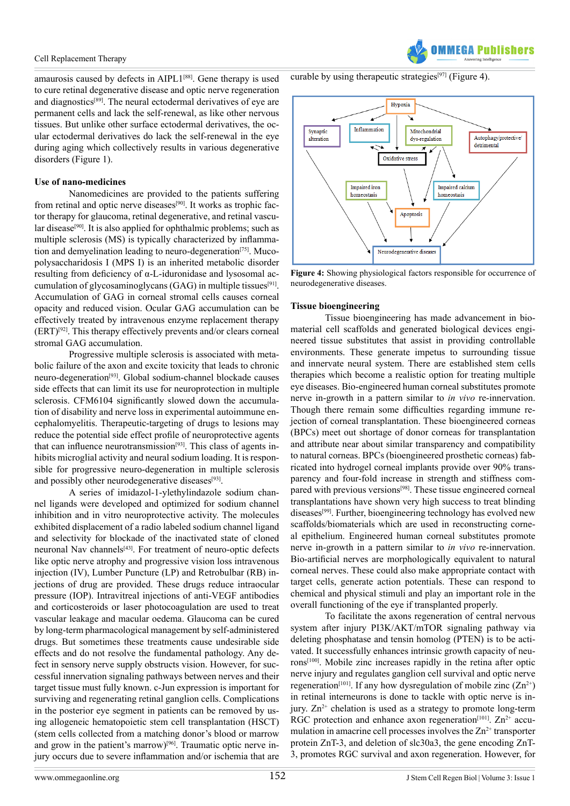amaurosis caused by defects in AIPL1[\[88\]](#page-11-12). Gene therapy is used to cure retinal degenerative disease and optic nerve regeneration and diagnostics[\[89\]](#page-11-13). The neural ectodermal derivatives of eye are permanent cells and lack the self-renewal, as like other nervous tissues. But unlike other surface ectodermal derivatives, the ocular ectodermal derivatives do lack the self-renewal in the eye during aging which collectively results in various degenerative disorders (Figure 1).

# **Use of nano-medicines**

Nanomedicines are provided to the patients suffering from retinal and optic nerve diseases<sup>[\[90\]](#page-11-14)</sup>. It works as trophic factor therapy for glaucoma, retinal degenerative, and retinal vascu-lar disease<sup>[\[90\]](#page-11-14)</sup>. It is also applied for ophthalmic problems; such as multiple sclerosis (MS) is typically characterized by inflammation and demyelination leading to neuro-degeneration<sup>[75]</sup>. Mucopolysaccharidosis I (MPS I) is an inherited metabolic disorder resulting from deficiency of α-L-iduronidase and lysosomal accumulation of glycosaminoglycans (GAG) in multiple tissues<sup>[91]</sup>. Accumulation of GAG in corneal stromal cells causes corneal opacity and reduced vision. Ocular GAG accumulation can be effectively treated by intravenous enzyme replacement therapy (ERT)[\[92\]](#page-11-16). This therapy effectively prevents and/or clears corneal stromal GAG accumulation.

Progressive multiple sclerosis is associated with metabolic failure of the axon and excite toxicity that leads to chronic neuro-degeneration[\[93\]](#page-11-17). Global sodium-channel blockade causes side effects that can limit its use for neuroprotection in multiple sclerosis. CFM6104 significantly slowed down the accumulation of disability and nerve loss in experimental autoimmune encephalomyelitis. Therapeutic-targeting of drugs to lesions may reduce the potential side effect profile of neuroprotective agents that can influence neurotransmission<sup>[\[93\]](#page-11-17)</sup>. This class of agents inhibits microglial activity and neural sodium loading. It is responsible for progressive neuro-degeneration in multiple sclerosis and possibly other neurodegenerative diseases $[93]$ .

A series of imidazol-1-ylethylindazole sodium channel ligands were developed and optimized for sodium channel inhibition and in vitro neuroprotective activity. The molecules exhibited displacement of a radio labeled sodium channel ligand and selectivity for blockade of the inactivated state of cloned neuronal Nav channels<sup>[43]</sup>. For treatment of neuro-optic defects like optic nerve atrophy and progressive vision loss intravenous injection (IV), Lumber Puncture (LP) and Retrobulbar (RB) injections of drug are provided. These drugs reduce intraocular pressure (IOP). Intravitreal injections of anti-VEGF antibodies and corticosteroids or laser photocoagulation are used to treat vascular leakage and macular oedema. Glaucoma can be cured by long-term pharmacological management by self-administered drugs. But sometimes these treatments cause undesirable side effects and do not resolve the fundamental pathology. Any defect in sensory nerve supply obstructs vision. However, for successful innervation signaling pathways between nerves and their target tissue must fully known. c-Jun expression is important for surviving and regenerating retinal ganglion cells. Complications in the posterior eye segment in patients can be removed by using allogeneic hematopoietic stem cell transplantation (HSCT) (stem cells collected from a matching donor's blood or marrow and grow in the patient's marrow) $[96]$ . Traumatic optic nerve injury occurs due to severe inflammation and/or ischemia that are

curable by using therapeutic strategies<sup>[97]</sup> (Figure 4).



**FGA Puhliel** 

**Figure 4:** Showing physiological factors responsible for occurrence of neurodegenerative diseases.

# **Tissue bioengineering**

Tissue bioengineering has made advancement in biomaterial cell scaffolds and generated biological devices engineered tissue substitutes that assist in providing controllable environments. These generate impetus to surrounding tissue and innervate neural system. There are established stem cells therapies which become a realistic option for treating multiple eye diseases. Bio-engineered human corneal substitutes promote nerve in-growth in a pattern similar to *in vivo* re-innervation. Though there remain some difficulties regarding immune rejection of corneal transplantation. These bioengineered corneas (BPCs) meet out shortage of donor corneas for transplantation and attribute near about similar transparency and compatibility to natural corneas. BPCs (bioengineered prosthetic corneas) fabricated into hydrogel corneal implants provide over 90% transparency and four-fold increase in strength and stiffness com-pared with previous versions<sup>[\[98\]](#page-11-20)</sup>. These tissue engineered corneal transplantations have shown very high success to treat blinding diseases<sup>[99]</sup>. Further, bioengineering technology has evolved new scaffolds/biomaterials which are used in reconstructing corneal epithelium. Engineered human corneal substitutes promote nerve in-growth in a pattern similar to *in vivo* re-innervation. Bio-artificial nerves are morphologically equivalent to natural corneal nerves. These could also make appropriate contact with target cells, generate action potentials. These can respond to chemical and physical stimuli and play an important role in the overall functioning of the eye if transplanted properly.

To facilitate the axons regeneration of central nervous system after injury PI3K/AKT/mTOR signaling pathway via deleting phosphatase and tensin homolog (PTEN) is to be activated. It successfully enhances intrinsic growth capacity of neurons[\[100\]](#page-12-0). Mobile zinc increases rapidly in the retina after optic nerve injury and regulates ganglion cell survival and optic nerve regeneration<sup>[\[101\]](#page-12-1)</sup>. If any how dysregulation of mobile zinc  $(Zn^{2+})$ in retinal interneurons is done to tackle with optic nerve is injury.  $Zn^{2+}$  chelation is used as a strategy to promote long-term RGC protection and enhance axon regeneration<sup>[101]</sup>.  $Zn^{2+}$  accumulation in amacrine cell processes involves the  $Zn^{2+}$  transporter protein ZnT-3, and deletion of slc30a3, the gene encoding ZnT-3, promotes RGC survival and axon regeneration. However, for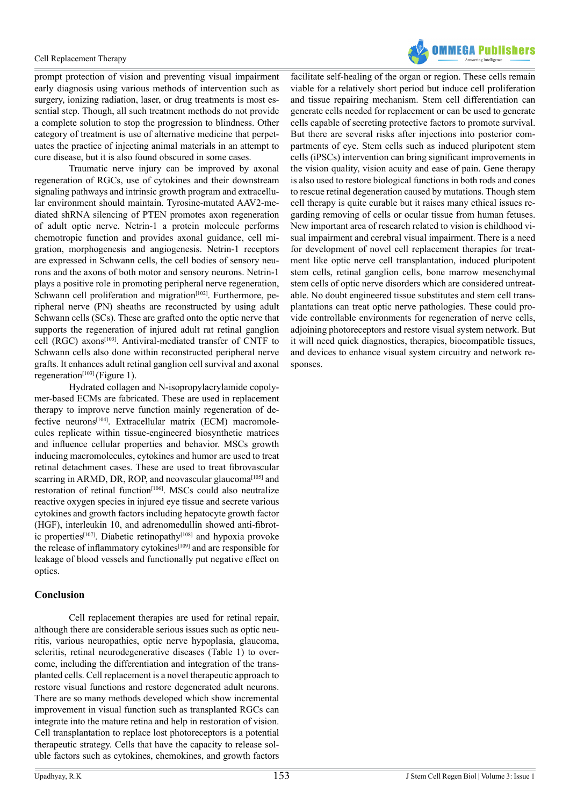

prompt protection of vision and preventing visual impairment early diagnosis using various methods of intervention such as surgery, ionizing radiation, laser, or drug treatments is most essential step. Though, all such treatment methods do not provide a complete solution to stop the progression to blindness. Other category of treatment is use of alternative medicine that perpetuates the practice of injecting animal materials in an attempt to cure disease, but it is also found obscured in some cases.

Traumatic nerve injury can be improved by axonal regeneration of RGCs, use of cytokines and their downstream signaling pathways and intrinsic growth program and extracellular environment should maintain. Tyrosine-mutated AAV2-mediated shRNA silencing of PTEN promotes axon regeneration of adult optic nerve. Netrin-1 a protein molecule performs chemotropic function and provides axonal guidance, cell migration, morphogenesis and angiogenesis. Netrin-1 receptors are expressed in Schwann cells, the cell bodies of sensory neurons and the axons of both motor and sensory neurons. Netrin-1 plays a positive role in promoting peripheral nerve regeneration, Schwann cell proliferation and migration<sup>[102]</sup>. Furthermore, peripheral nerve (PN) sheaths are reconstructed by using adult Schwann cells (SCs). These are grafted onto the optic nerve that supports the regeneration of injured adult rat retinal ganglion cell (RGC) axons[\[103\].](#page-12-3) Antiviral-mediated transfer of CNTF to Schwann cells also done within reconstructed peripheral nerve grafts. It enhances adult retinal ganglion cell survival and axonal regeneration<sup>[103]</sup> (Figure 1).

Hydrated collagen and N-isopropylacrylamide copolymer-based ECMs are fabricated. These are used in replacement therapy to improve nerve function mainly regeneration of defective neurons<sup>[104]</sup>. Extracellular matrix (ECM) macromolecules replicate within tissue-engineered biosynthetic matrices and influence cellular properties and behavior. MSCs growth inducing macromolecules, cytokines and humor are used to treat retinal detachment cases. These are used to treat fibrovascular scarring in ARMD, DR, ROP, and neovascular glaucoma<sup>[105]</sup> and restoration of retinal function<sup>[\[106\]](#page-12-6)</sup>. MSCs could also neutralize reactive oxygen species in injured eye tissue and secrete various cytokines and growth factors including hepatocyte growth factor (HGF), interleukin 10, and adrenomedullin showed anti-fibrot-ic properties<sup>[\[107\]](#page-12-7)</sup>. Diabetic retinopathy<sup>[\[108\]](#page-12-8)</sup> and hypoxia provoke the release of inflammatory cytokines<sup>[\[109\]](#page-12-9)</sup> and are responsible for leakage of blood vessels and functionally put negative effect on optics.

# **Conclusion**

Cell replacement therapies are used for retinal repair, although there are considerable serious issues such as optic neuritis, various neuropathies, optic nerve hypoplasia, glaucoma, scleritis, retinal neurodegenerative diseases (Table 1) to overcome, including the differentiation and integration of the transplanted cells. Cell replacement is a novel therapeutic approach to restore visual functions and restore degenerated adult neurons. There are so many methods developed which show incremental improvement in visual function such as transplanted RGCs can integrate into the mature retina and help in restoration of vision. Cell transplantation to replace lost photoreceptors is a potential therapeutic strategy. Cells that have the capacity to release soluble factors such as cytokines, chemokines, and growth factors

facilitate self-healing of the organ or region. These cells remain viable for a relatively short period but induce cell proliferation and tissue repairing mechanism. Stem cell differentiation can generate cells needed for replacement or can be used to generate cells capable of secreting protective factors to promote survival. But there are several risks after injections into posterior compartments of eye. Stem cells such as induced pluripotent stem cells (iPSCs) intervention can bring significant improvements in the vision quality, vision acuity and ease of pain. Gene therapy is also used to restore biological functions in both rods and cones to rescue retinal degeneration caused by mutations. Though stem cell therapy is quite curable but it raises many ethical issues regarding removing of cells or ocular tissue from human fetuses. New important area of research related to vision is childhood visual impairment and cerebral visual impairment. There is a need for development of novel cell replacement therapies for treatment like optic nerve cell transplantation, induced pluripotent stem cells, retinal ganglion cells, bone marrow mesenchymal stem cells of optic nerve disorders which are considered untreatable. No doubt engineered tissue substitutes and stem cell transplantations can treat optic nerve pathologies. These could provide controllable environments for regeneration of nerve cells, adjoining photoreceptors and restore visual system network. But it will need quick diagnostics, therapies, biocompatible tissues, and devices to enhance visual system circuitry and network responses.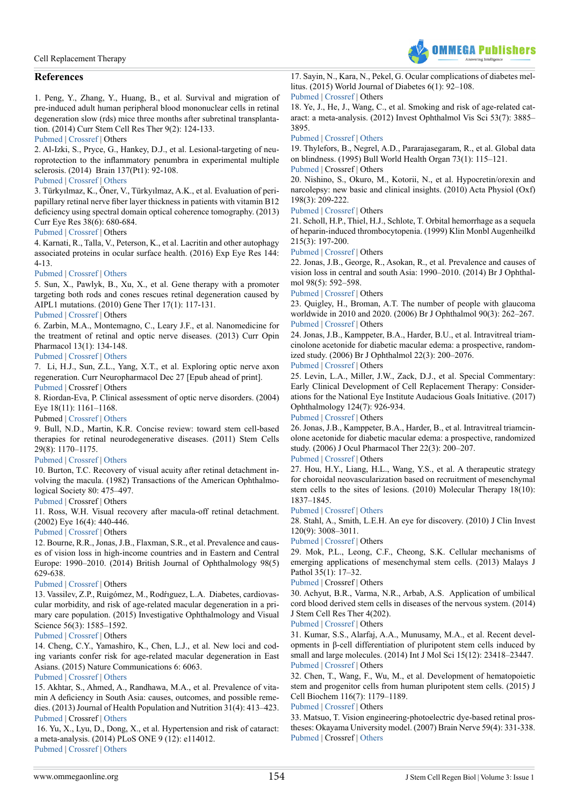

# **References**

<span id="page-9-0"></span>1. Peng, Y., Zhang, Y., Huang, B., et al. Survival and migration of pre-induced adult human peripheral blood mononuclear cells in retinal degeneration slow (rds) mice three months after subretinal transplantation. (2014) Curr Stem Cell Res Ther 9(2): 124-133.

#### [Pubmed](https://www.ncbi.nlm.nih.gov/pmc/articles/PMC4101734/) | [Crossref](https://doi.org/10.2174/1574888X09666131219115125) | Others

<span id="page-9-1"></span>2. Al-Izki, S., Pryce, G., Hankey, D.J., et al. Lesional-targeting of neuroprotection to the inflammatory penumbra in experimental multiple sclerosis. (2014) Brain 137(Pt1): 92-108.

### [Pubmed](https://www.ncbi.nlm.nih.gov/pubmed/24287115) | [Crossref](https://doi.org/10.1093/brain/awt324) | [Others](https://academic.oup.com/brain/article/137/1/92/364541/Lesional-targeting-of-neuroprotection-to-the)

<span id="page-9-2"></span>3. Türkyılmaz, K., Öner, V., Türkyılmaz, A.K., et al. Evaluation of peripapillary retinal nerve fiber layer thickness in patients with vitamin B12 deficiency using spectral domain optical coherence tomography. (2013) Curr Eye Res 38(6): 680-684.

# [Pubmed](https://www.ncbi.nlm.nih.gov/pubmed/23317171) | [Crossref](https://doi.org/10.3109/02713683.2012.758291) | Others

<span id="page-9-3"></span>4. Karnati, R., Talla, V., Peterson, K., et al. Lacritin and other autophagy associated proteins in ocular surface health. (2016) Exp Eye Res 144: 4-13.

# [Pubmed](https://www.ncbi.nlm.nih.gov/pubmed/26318608) | [Crossref](https://doi.org/10.1016/j.exer.2015.08.015) | [Others](https://www.researchgate.net/publication/281306357_Lacritin_and_Other_Autophagy_Associated_Proteins_in_Ocular_Surface_Health)

<span id="page-9-4"></span>5. Sun, X., Pawlyk, B., Xu, X., et al. Gene therapy with a promoter targeting both rods and cones rescues retinal degeneration caused by AIPL1 mutations. (2010) Gene Ther 17(1): 117-131.

# [Pubmed](https://www.ncbi.nlm.nih.gov/pubmed/19710705) | [Crossref](https://doi.org/10.1038/gt.2009.104) | Others

<span id="page-9-5"></span>6. Zarbin, M.A., Montemagno, C., Leary J.F., et al. Nanomedicine for the treatment of retinal and optic nerve diseases. (2013) Curr Opin Pharmacol 13(1): 134-148.

### [Pubmed](https://www.ncbi.nlm.nih.gov/pubmed/23142104) | [Crossref](https://doi.org/10.1016/j.coph.2012.10.003) | [Others](http://www.sciencedirect.com/science/article/pii/S1471489212001993)

<span id="page-9-6"></span>7. Li, H.J., Sun, Z.L., Yang, X.T., et al. Exploring optic nerve axon regeneration. Curr Neuropharmacol Dec 27 [Epub ahead of print].

[Pubmed](https://www.ncbi.nlm.nih.gov/pubmed/28029073) | Crossref | Others

<span id="page-9-7"></span>8. Riordan-Eva, P. Clinical assessment of optic nerve disorders. (2004) Eye 18(11): 1161–1168.

Pubmed | [Crossref](https://doi.org/10.1038/sj.eye.6701575) | [Others](https://www.researchgate.net/publication/8185565_Clinical_assessment_of_optic_nerve_disorders)

<span id="page-9-8"></span>9. Bull, N.D., Martin, K.R. Concise review: toward stem cell-based therapies for retinal neurodegenerative diseases. (2011) Stem Cells 29(8): 1170–1175.

# [Pubmed](https://www.ncbi.nlm.nih.gov/pubmed/21674700) | [Crossref](https://doi.org/10.1002/stem.676) | [Others](http://onlinelibrary.wiley.com/doi/10.1002/stem.676/abstract)

<span id="page-9-9"></span>10. Burton, T.C. Recovery of visual acuity after retinal detachment involving the macula. (1982) Transactions of the American Ophthalmological Society 80: 475–497.

# [Pubmed](https://www.ncbi.nlm.nih.gov/pmc/articles/PMC1312277/) | Crossref | Others

<span id="page-9-10"></span>11. Ross, W.H. Visual recovery after macula-off retinal detachment. (2002) Eye 16(4): 440-446.

# [Pubmed](https://www.ncbi.nlm.nih.gov/pubmed/12101451) | [Crossref](https://doi.org/10.1038/sj.eye.6700192) | Others

<span id="page-9-11"></span>12. Bourne, R.R., Jonas, J.B., Flaxman, S.R., et al. Prevalence and causes of vision loss in high-income countries and in Eastern and Central Europe: 1990–2010. (2014) British Journal of Ophthalmology 98(5) 629-638.

#### [Pubmed](https://www.ncbi.nlm.nih.gov/pubmed/24665132) | [Crossref](https://doi.org/10.1136/bjophthalmol-2013-304033) | Others

13. Vassilev, Z.P., Ruigómez, M., Rodŕıguez, L.A. Diabetes, cardiovascular morbidity, and risk of age-related macular degeneration in a primary care population. (2015) Investigative Ophthalmology and Visual Science 56(3): 1585-1592.

# [Pubmed](https://www.ncbi.nlm.nih.gov/pubmed/25670489) | [Crossref](https://doi.org/10.1167/iovs.14-16271) | Others

14. Cheng, C.Y., Yamashiro, K., Chen, L.J., et al. New loci and coding variants confer risk for age-related macular degeneration in East Asians. (2015) Nature Communications 6: 6063.

# [Pubmed](https://www.ncbi.nlm.nih.gov/pubmed/25629512) | [Crossref |](https://doi.org/10.1038/ncomms7063) [Others](https://www.nature.com/articles/ncomms7063)

<span id="page-9-12"></span>15. Akhtar, S., Ahmed, A., Randhawa, M.A., et al. Prevalence of vitamin A deficiency in South Asia: causes, outcomes, and possible remedies. (2013) Journal of Health Population and Nutrition 31(4): 413–423. [Pubmed](https://www.ncbi.nlm.nih.gov/pmc/articles/PMC3905635/) | Crossref | [Others](https://www.researchgate.net/publication/260519221_Prevalence_of_Vitamin_A_Deficiency_in_South_Asia_Causes_Outcomes_and_Possible_Remedies)

<span id="page-9-13"></span> 16. Yu, X., Lyu, D., Dong, X., et al. Hypertension and risk of cataract: a meta-analysis. (2014) PLoS ONE 9 (12): e114012.

[Pubmed](https://www.ncbi.nlm.nih.gov/pubmed/25474403) | [Crossref](https://doi.org/10.1371/journal.pone.0114012) | [Others](https://www.researchgate.net/publication/269188028_Hypertension_and_Risk_of_Cataract_A_Meta-Analysis)

<span id="page-9-14"></span>17. Sayin, N., Kara, N., Pekel, G. Ocular complications of diabetes mellitus. (2015) World Journal of Diabetes 6(1): 92–108. [Pubmed](https://www.ncbi.nlm.nih.gov/pmc/articles/PMC4317321/) | [Crossref](https://doi.org/10.4239/wjd.v6.i1.92) | Others

<span id="page-9-15"></span>18. Ye, J., He, J., Wang, C., et al. Smoking and risk of age-related cataract: a meta-analysis. (2012) Invest Ophthalmol Vis Sci 53(7): 3885– 3895.

### [Pubmed](https://www.ncbi.nlm.nih.gov/pubmed/22599585) | [Crossref](https://doi.org/10.1167/iovs.12-9820) | [Others](http://iovs.arvojournals.org/article.aspx?articleid=2128544)

<span id="page-9-16"></span>19. Thylefors, B., Negrel, A.D., Pararajasegaram, R., et al. Global data on blindness. (1995) Bull World Health Organ 73(1): 115–121. [Pubmed](https://www.ncbi.nlm.nih.gov/pubmed/7704921) | Crossref | Others

<span id="page-9-17"></span>20. Nishino, S., Okuro, M., Kotorii, N., et al. Hypocretin/orexin and narcolepsy: new basic and clinical insights. (2010) Acta Physiol (Oxf) 198(3): 209-222.

### [Pubmed](https://www.ncbi.nlm.nih.gov/pubmed/19555382) | [Crossref](https://doi.org/10.1111/j.1748-1716.2009.02012.x) | Others

<span id="page-9-18"></span>21. Scholl, H.P., Thiel, H.J., Schlote, T. Orbital hemorrhage as a sequela of heparin-induced thrombocytopenia. (1999) Klin Monbl Augenheilkd 215(3): 197-200.

[Pubmed](https://www.ncbi.nlm.nih.gov/pubmed/10528286) | [Crossref](https://doi.org/10.1055/s-2008-1034698) | Others

<span id="page-9-19"></span>22. Jonas, J.B., George, R., Asokan, R., et al. Prevalence and causes of vision loss in central and south Asia: 1990–2010. (2014) Br J Ophthalmol 98(5): 592–598.

# [Pubmed](https://www.ncbi.nlm.nih.gov/pubmed/24457361) | [Crossref](https://doi.org/10.1136/bjophthalmol-2013-303998) | Others

<span id="page-9-20"></span>23. Quigley, H., Broman, A.T. The number of people with glaucoma worldwide in 2010 and 2020. (2006) Br J Ophthalmol 90(3): 262–267. [Pubmed](https://www.ncbi.nlm.nih.gov/pubmed/24457361) | [Crossref](https://doi.org/10.1136/bjophthalmol-2013-303998) | Others

24. Jonas, J.B., Kamppeter, B.A., Harder, B.U., et al. Intravitreal triamcinolone acetonide for diabetic macular edema: a prospective, randomized study. (2006) Br J Ophthalmol 22(3): 200–2076.

[Pubmed](https://www.ncbi.nlm.nih.gov/pubmed/16808682) | [Crossref](https://doi.org/10.1089/jop.2006.22.200) | Others

<span id="page-9-21"></span>25. Levin, L.A., Miller, J.W., Zack, D.J., et al. Special Commentary: Early Clinical Development of Cell Replacement Therapy: Considerations for the National Eye Institute Audacious Goals Initiative. (2017) Ophthalmology 124(7): 926-934.

[Pubmed](https://www.ncbi.nlm.nih.gov/pubmed/28365209) | [Crossref](https://doi.org/10.1016/j.ophtha.2017.02.017) | Others

<span id="page-9-22"></span>26. Jonas, J.B., Kamppeter, B.A., Harder, B., et al. Intravitreal triamcinolone acetonide for diabetic macular edema: a prospective, randomized study. (2006) J Ocul Pharmacol Ther 22(3): 200–207.

# [Pubmed](https://www.ncbi.nlm.nih.gov/pubmed/16808682) | [Crossref](https://doi.org/10.1089/jop.2006.22.200) | Others

27. Hou, H.Y., Liang, H.L., Wang, Y.S., et al. A therapeutic strategy for choroidal neovascularization based on recruitment of mesenchymal stem cells to the sites of lesions. (2010) Molecular Therapy 18(10): 1837–1845.

#### [Pubmed](https://www.ncbi.nlm.nih.gov/pubmed/20647999) | [Crossref](https://doi.org/10.1038/mt.2010.144) | [Others](https://www.researchgate.net/publication/45279077_A_Therapeutic_Strategy_for_Choroidal_Neovascularization_Based_on_Recruitment_of_Mesenchymal_Stem_Cells_to_the_Sites_of_Lesions)

28. Stahl, A., Smith, L.E.H. An eye for discovery. (2010) J Clin Invest 120(9): 3008–3011.

[Pubmed](https://www.ncbi.nlm.nih.gov/pubmed/20811156) | [Crossref](https://doi.org/10.1172/JCI44158) | Others

<span id="page-9-23"></span>29. Mok, P.L., Leong, C.F., Cheong, S.K. Cellular mechanisms of emerging applications of mesenchymal stem cells. (2013) Malays J Pathol 35(1): 17–32.

# [Pubmed](https://www.ncbi.nlm.nih.gov/pubmed/23817392) | Crossref | Others

30. Achyut, B.R., Varma, N.R., Arbab, A.S. Application of umbilical cord blood derived stem cells in diseases of the nervous system. (2014) J Stem Cell Res Ther 4(202).

[Pubmed](https://www.ncbi.nlm.nih.gov/pubmed/25599002) | [Crossref](https://doi.org/10.4172/2157-7633.1000202) | Others

31. Kumar, S.S., Alarfaj, A.A., Munusamy, M.A., et al. Recent developments in β-cell differentiation of pluripotent stem cells induced by small and large molecules. (2014) Int J Mol Sci 15(12): 23418–23447. [Pubmed](https://www.ncbi.nlm.nih.gov/pmc/articles/PMC4284775/) | [Crossref](https://doi.org/10.3390/ijms151223418) | Others

32. Chen, T., Wang, F., Wu, M., et al. Development of hematopoietic stem and progenitor cells from human pluripotent stem cells. (2015) J Cell Biochem 116(7): 1179–1189.

#### [Pubmed](https://www.ncbi.nlm.nih.gov/pubmed/25740540) | [Crossref](https://doi.org/10.1002/jcb.25097) | Others

<span id="page-9-24"></span>33. Matsuo, T. Vision engineering-photoelectric dye-based retinal prostheses: Okayama University model. (2007) Brain Nerve 59(4): 331-338. [Pubmed](https://www.ncbi.nlm.nih.gov/pubmed/17447519) | Crossref | [Others](https://www.researchgate.net/publication/6380395_Vision_engineering_-_Photoelectric_dye-based_retinal_prostheses_Okayama_university_model)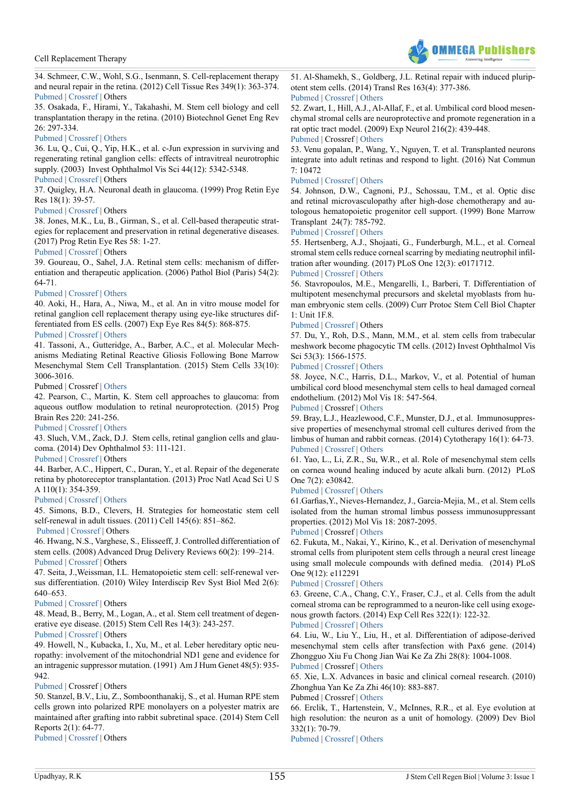

<span id="page-10-0"></span>34. Schmeer, C.W., Wohl, S.G., Isenmann, S. Cell-replacement therapy and neural repair in the retina. (2012) Cell Tissue Res 349(1): 363-374. [Pubmed](https://www.ncbi.nlm.nih.gov/pubmed/22354517) | [Crossref](https://doi.org/10.1007/s00441-012-1335-6) | Others

<span id="page-10-1"></span>35. Osakada, F., Hirami, Y., Takahashi, M. Stem cell biology and cell transplantation therapy in the retina. (2010) Biotechnol Genet Eng Rev 26: 297-334.

# [Pubmed](https://www.ncbi.nlm.nih.gov/pubmed/21415886) | [Crossref](http://dx.doi.org/10.5661/bger-26-297) | [Others](http://www.tandfonline.com/doi/abs/10.5661/bger-26-297)

<span id="page-10-2"></span>36. Lu, Q., Cui, Q., Yip, H.K., et al. c-Jun expression in surviving and regenerating retinal ganglion cells: effects of intravitreal neurotrophic supply. (2003) Invest Ophthalmol Vis Sci 44(12): 5342-5348.

# [Pubmed](https://www.ncbi.nlm.nih.gov/pubmed/14638736) | [Crossref](https://doi.org/10.1167/iovs.03-0444) | Others

<span id="page-10-3"></span>37. Quigley, H.A. Neuronal death in glaucoma. (1999) Prog Retin Eye Res 18(1): 39-57.

# [Pubmed](https://www.ncbi.nlm.nih.gov/pubmed/9920498) | [Crossref](https://doi.org/10.1016/S1350-9462(98)00014-7) | Others

<span id="page-10-4"></span>38. Jones, M.K., Lu, B., Girman, S., et al. Cell-based therapeutic strategies for replacement and preservation in retinal degenerative diseases. (2017) Prog Retin Eye Res 58: 1-27.

# [Pubmed](https://www.ncbi.nlm.nih.gov/pubmed/28111323) | [Crossref](https://doi.org/10.1016/j.preteyeres.2017.01.004) | Others

<span id="page-10-5"></span>39. Goureau, O., Sahel, J.A. Retinal stem cells: mechanism of differentiation and therapeutic application. (2006) Pathol Biol (Paris) 54(2): 64-71.

# [Pubmed](https://www.ncbi.nlm.nih.gov/pubmed/16545632) | [Crossref](https://doi.org/10.1016/j.patbio.2005.02.002) | [Others](https://www.researchgate.net/publication/7232534_Retinal_stem_cells_mechanism_of_differentiation_and_therapeutic_application)

<span id="page-10-6"></span>40. Aoki, H., Hara, A., Niwa, M., et al. An in vitro mouse model for retinal ganglion cell replacement therapy using eye-like structures differentiated from ES cells. (2007) Exp Eye Res 84(5): 868-875.

# [Pubmed](https://www.ncbi.nlm.nih.gov/pubmed/17336960) | [Crossref |](https://doi.org/10.1016/j.exer.2007.01.007) [Others](http://www.sciencedirect.com/science/article/pii/S0014483507000292)

<span id="page-10-7"></span>41. Tassoni, A., Gutteridge, A., Barber, A.C., et al. Molecular Mechanisms Mediating Retinal Reactive Gliosis Following Bone Marrow Mesenchymal Stem Cell Transplantation. (2015) Stem Cells 33(10): 3006-3016.

# Pubmed | Crossref | [Others](https://www.researchgate.net/publication/280122884_Molecular_Mechanisms_Mediating_Retinal_Reactive_Gliosis_Following_Bone_Marrow_Mesenchymal_Stem_Cell_Transplantation)

<span id="page-10-8"></span>42. Pearson, C., Martin, K. Stem cell approaches to glaucoma: from aqueous outflow modulation to retinal neuroprotection. (2015) Prog Brain Res 220: 241-256.

# [Pubmed](https://www.ncbi.nlm.nih.gov/pubmed/26497794) | [Crossref](https://doi.org/10.1016/bs.pbr.2015.04.005) | [Others](https://www.researchgate.net/publication/283261613_Stem_cell_approaches_to_glaucoma_From_aqueous_outflow_modulation_to_retinal_neuroprotection)

<span id="page-10-9"></span>43. Sluch, V.M., Zack, D.J. Stem cells, retinal ganglion cells and glaucoma. (2014) Dev Ophthalmol 53: 111-121.

# [Pubmed](https://www.ncbi.nlm.nih.gov/pmc/articles/PMC4547935/) | [Crossref](https://doi.org/10.1159/000358409) | Others

<span id="page-10-10"></span>44. Barber, A.C., Hippert, C., Duran, Y., et al. Repair of the degenerate retina by photoreceptor transplantation. (2013) Proc Natl Acad Sci U S A 110(1): 354-359.

# [Pubmed](https://www.ncbi.nlm.nih.gov/pubmed/23248312) | [Crossref](https://doi.org/10.1073/pnas.1212677110) | [Others](http://www.pnas.org/content/110/1/354.full)

45. Simons, B.D., Clevers, H. Strategies for homeostatic stem cell self-renewal in adult tissues. (2011) Cell 145(6): 851–862.

# [Pubmed](https://www.ncbi.nlm.nih.gov/pubmed/21663791) | [Crossref](https://doi.org/10.1016/j.cell.2011.05.033) | Others

46. Hwang, N.S., Varghese, S., Elisseeff, J. Controlled differentiation of stem cells. (2008) Advanced Drug Delivery Reviews 60(2): 199–214. [Pubmed](https://www.ncbi.nlm.nih.gov/pubmed/18006108) | [Crossref](https://doi.org/10.1016/j.addr.2007.08.036) | Others

47. Seita, J.,Weissman, I.L. Hematopoietic stem cell: self-renewal versus differentiation. (2010) Wiley Interdiscip Rev Syst Biol Med 2(6): 640–653.

# [Pubmed](https://www.ncbi.nlm.nih.gov/pubmed/20890962) | [Crossref](https://doi.org/10.1002/wsbm.86) | Others

<span id="page-10-11"></span>48. Mead, B., Berry, M., Logan, A., et al. Stem cell treatment of degenerative eye disease. (2015) Stem Cell Res 14(3): 243-257.

[Pubmed](https://www.ncbi.nlm.nih.gov/pubmed/25752437) | [Crossref](https://doi.org/10.1016/j.scr.2015.02.003) | Others

<span id="page-10-12"></span>49. Howell, N., Kubacka, I., Xu, M., et al. Leber hereditary optic neuropathy: involvement of the mitochondrial ND1 gene and evidence for an intragenic suppressor mutation. (1991) Am J Hum Genet 48(5): 935- 942.

# [Pubmed](https://www.ncbi.nlm.nih.gov/pubmed/2018041) | Crossref | Others

<span id="page-10-13"></span>50. Stanzel, B.V., Liu, Z., Somboonthanakij, S., et al. Human RPE stem cells grown into polarized RPE monolayers on a polyester matrix are maintained after grafting into rabbit subretinal space. (2014) Stem Cell Reports 2(1): 64-77.

[Pubmed](https://www.ncbi.nlm.nih.gov/pubmed/24511471) | [Crossref](https://doi.org/10.1016/j.stemcr.2013.11.005) | Others

<span id="page-10-14"></span>51. Al-Shamekh, S., Goldberg, J.L. Retinal repair with induced pluripotent stem cells. (2014) Transl Res 163(4): 377-386. [Pubmed](https://www.ncbi.nlm.nih.gov/pubmed/24291154) | [Crossref](https://doi.org/10.1016/j.trsl.2013.11.002) | [Others](http://www.sciencedirect.com/science/article/pii/S1931524413003812)

<span id="page-10-15"></span>52. Zwart, I., Hill, A.J., Al-Allaf, F., et al. Umbilical cord blood mesenchymal stromal cells are neuroprotective and promote regeneration in a rat optic tract model. (2009) Exp Neurol 216(2): 439-448. [Pubmed](https://www.ncbi.nlm.nih.gov/pubmed/19320003) | Crossref | [Others](http://www.sciencedirect.com/science/article/pii/S0014488609000053)

<span id="page-10-16"></span>53. Venu gopalan, P., Wang, Y., Nguyen, T. et al. Transplanted neurons integrate into adult retinas and respond to light. (2016) Nat Commun  $7:10472$ 

# [Pubmed](https://www.ncbi.nlm.nih.gov/pubmed/26843334) | [Crossref](https://doi.org/10.1038/ncomms10472) | [Others](https://www.nature.com/articles/ncomms10472)

<span id="page-10-17"></span>54. Johnson, D.W., Cagnoni, P.J., Schossau, T.M., et al. Optic disc and retinal microvasculopathy after high-dose chemotherapy and autologous hematopoietic progenitor cell support. (1999) Bone Marrow Transplant 24(7): 785-792.

# [Pubmed](https://www.ncbi.nlm.nih.gov/pubmed/10516683) | [Crossref](https://doi.org/10.1038/sj.bmt.1701913) | [Others](https://www.nature.com/bmt/journal/v24/n7/pdf/1701913a.pdf?origin=ppub)

<span id="page-10-18"></span>55. Hertsenberg, A.J., Shojaati, G., Funderburgh, M.L., et al. Corneal stromal stem cells reduce corneal scarring by mediating neutrophil infiltration after wounding. (2017) PLoS One 12(3): e0171712.

# [Pubmed](https://www.ncbi.nlm.nih.gov/pubmed/28257425) [| Crossref](https://doi.org/10.1371/journal.pone.0171712) | [Others](http://journals.plos.org/plosone/article?id=10.1371/journal.pone.0171712)

<span id="page-10-19"></span>56. Stavropoulos, M.E., Mengarelli, I., Barberi, T. Differentiation of multipotent mesenchymal precursors and skeletal myoblasts from human embryonic stem cells. (2009) Curr Protoc Stem Cell Biol Chapter 1: Unit 1F.8.

# [Pubmed](https://www.ncbi.nlm.nih.gov/pubmed/19536758) | [Crossref](https://doi.org/0.1002/9780470151808.sc01f08s9) | Others

<span id="page-10-20"></span>57. Du, Y., Roh, D.S., Mann, M.M., et al. stem cells from trabecular meshwork become phagocytic TM cells. (2012) Invest Ophthalmol Vis Sci 53(3): 1566-1575.

# [Pubmed](https://www.ncbi.nlm.nih.gov/pmc/articles/PMC4604717/) | [Crossref](https://doi.org/10.1167/iovs.12-11056) | [Others](http://online.liebertpub.com/doi/abs/10.1089/jop.2016.0005?journalCode=jop)

<span id="page-10-21"></span>58. Joyce, N.C., Harris, D.L., Markov, V., et al. Potential of human umbilical cord blood mesenchymal stem cells to heal damaged corneal endothelium. (2012) Mol Vis 18: 547-564.

# [Pubmed](https://www.ncbi.nlm.nih.gov/pubmed/22419848) | Crossref | [Others](https://www.semanticscholar.org/paper/Potential-of-human-umbilical-cord-blood-mesenchyma-Joyce-Harris/8b442fe188621c72c96daad20849967eca9951b6)

<span id="page-10-22"></span>59. Bray, L.J., Heazlewood, C.F., Munster, D.J., et al. Immunosuppressive properties of mesenchymal stromal cell cultures derived from the limbus of human and rabbit corneas. (2014) Cytotherapy 16(1): 64-73. [Pubmed](https://www.ncbi.nlm.nih.gov/pubmed/24094499) [| Crossref](https://doi.org/10.1016/j.jcyt.2013.07.006) | [Others](http://www.sciencedirect.com/science/article/pii/S146532491300635X)

<span id="page-10-23"></span>61. Yao, L., Li, Z.R., Su, W.R., et al. Role of mesenchymal stem cells on cornea wound healing induced by acute alkali burn. (2012) PLoS One 7(2): e30842.

# [Pubmed](https://www.ncbi.nlm.nih.gov/pubmed/22363499) | [Crossref](https://doi.org/10.1371/journal.pone.0030842) | [Others](http://journals.plos.org/plosone/article?id=10.1371/journal.pone.0030842)

<span id="page-10-24"></span>61.Garfias,Y., Nieves-Hernandez, J., Garcia-Mejia, M., et al. Stem cells isolated from the human stromal limbus possess immunosuppressant properties. (2012) Mol Vis 18: 2087-2095.

[Pubmed](https://www.ncbi.nlm.nih.gov/pubmed/22876135) | Crossref | [Others](https://www.researchgate.net/publication/230639090_Stem_cells_isolated_from_the_human_stromal_limbus_possess_immunosuppressant_properties)

<span id="page-10-25"></span>62. Fukuta, M., Nakai, Y., Kirino, K., et al. Derivation of mesenchymal stromal cells from pluripotent stem cells through a neural crest lineage using small molecule compounds with defined media. (2014) PLoS One 9(12): e112291

# [Pubmed](https://www.ncbi.nlm.nih.gov/pubmed/25464501) | [Crossref](https://doi.org/10.1371/journal.pone.0112291) | [Others](http://journals.plos.org/plosone/article?id=10.1371/journal.pone.0112291)

<span id="page-10-26"></span>63. Greene, C.A., Chang, C.Y., Fraser, C.J., et al. Cells from the adult corneal stroma can be reprogrammed to a neuron-like cell using exogenous growth factors. (2014) Exp Cell Res 322(1): 122-32.

[Pubmed](https://www.ncbi.nlm.nih.gov/pubmed/24370575) | [Crossref](https://doi.org/10.1016/j.yexcr.2013.12.013) | [Others](http://www.sciencedirect.com/science/article/pii/S0014482713005302)

<span id="page-10-27"></span>64. Liu, W., Liu Y., Liu, H., et al. Differentiation of adipose-derived mesenchymal stem cells after transfection with Pax6 gene. (2014) Zhongguo Xiu Fu Chong Jian Wai Ke Za Zhi 28(8): 1004-1008.

[Pubmed](https://www.ncbi.nlm.nih.gov/pubmed/25417317) | Crossref | [Others](http://mbbsdost.com/Differentiation-adipose-derived-mesenchymal-stem-cells-after-transfection-Pax6-gene-Zhongguo-xiu-fu-chong-jian-wai-ke-za-zhi-Zhongguo-xiufu-chongjian-waike-zazhi-Chinese-journal-reparative-reconstructive-surgery-Liu-W-Liu-W-Liu-W-Luo-W-)

<span id="page-10-28"></span>65. Xie, L.X. Advances in basic and clinical corneal research. (2010) Zhonghua Yan Ke Za Zhi 46(10): 883-887.

# Pubmed | Crossref | [Others](http://mbbsdost.com/Advances-basic-clinical-corneal-research-Zhonghua-yan-ke-za-zhi-Chinese-journal-ophthalmology-Xie-LX--2010-Oct/pubmed/20509842)

<span id="page-10-29"></span>66. Erclik, T., Hartenstein, V., McInnes, R.R., et al. Eye evolution at high resolution: the neuron as a unit of homology. (2009) Dev Biol 332(1): 70-79.

[Pubmed](https://www.ncbi.nlm.nih.gov/pubmed/19467226) | [Crossref](https://doi.org/10.1016/j.ydbio.2009.05.565) | [Others](http://www.sciencedirect.com/science/article/pii/S0012160609008835)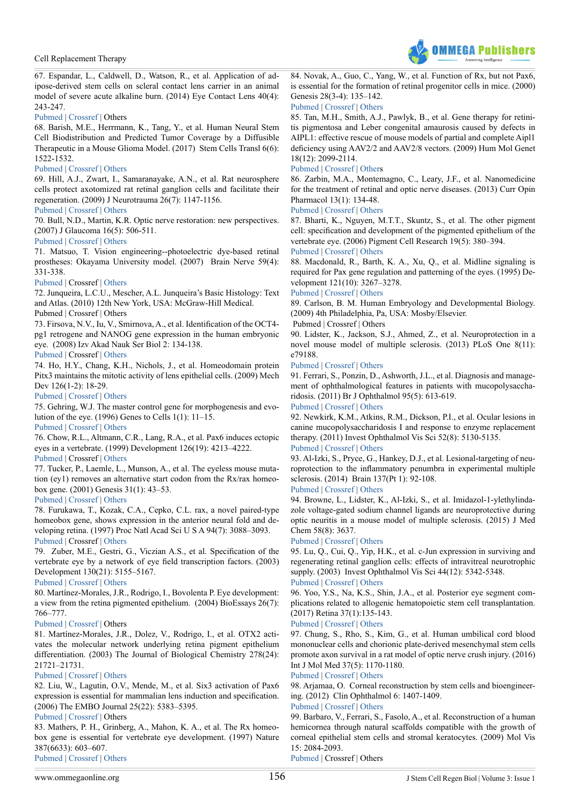

<span id="page-11-0"></span>67. Espandar, L., Caldwell, D., Watson, R., et al. Application of adipose-derived stem cells on scleral contact lens carrier in an animal model of severe acute alkaline burn. (2014) Eye Contact Lens 40(4): 243-247.

### [Pubmed](https://www.ncbi.nlm.nih.gov/pubmed/24901976) | [Crossref](https://doi.org/10.1097/ICL.0000000000000045) | Others

<span id="page-11-1"></span>68. Barish, M.E., Herrmann, K., Tang, Y., et al. Human Neural Stem Cell Biodistribution and Predicted Tumor Coverage by a Diffusible Therapeutic in a Mouse Glioma Model. (2017) Stem Cells Transl 6(6): 1522-1532.

### [Pubmed](https://www.ncbi.nlm.nih.gov/pubmed/28481046) | [Crossref](https://doi.org/10.1002/sctm.16-0397) | [Others](http://onlinelibrary.wiley.com/doi/10.1002/sctm.16-0397/full)

<span id="page-11-2"></span>69. Hill, A.J., Zwart, I., Samaranayake, A.N., et al. Rat neurosphere cells protect axotomized rat retinal ganglion cells and facilitate their regeneration. (2009) J Neurotrauma 26(7): 1147-1156.

### [Pubmed](https://www.ncbi.nlm.nih.gov/pubmed/19203229) | [Crossref](https://doi.org/10.1089/neu.2008.0801) | [Others](http://online.liebertpub.com/doi/abs/10.1089/neu.2008.0801)

<span id="page-11-3"></span>70. Bull, N.D., Martin, K.R. Optic nerve restoration: new perspectives. (2007) J Glaucoma 16(5): 506-511.

#### [Pubmed](https://www.ncbi.nlm.nih.gov/pubmed/17700293) | [Crossref](https://doi.org/10.1097/IJG.0b013e3180391a18) | [Others](http://journals.lww.com/glaucomajournal/Abstract/2007/08000/Optic_Nerve_Restoration__New_Perspectives.11.aspx)

<span id="page-11-4"></span>71. Matsuo, T. Vision engineering--photoelectric dye-based retinal prostheses: Okayama University model. (2007) Brain Nerve 59(4): 331-338.

### [Pubmed](https://www.ncbi.nlm.nih.gov/pubmed/17447519) | Crossref | [Others](https://www.researchgate.net/publication/6380395_Vision_engineering_-_Photoelectric_dye-based_retinal_prostheses_Okayama_university_model)

<span id="page-11-5"></span>72. Junqueira, L.C.U., Mescher, A.L. Junqueira's Basic Histology: Text and Atlas. (2010) 12th New York, USA: McGraw-Hill Medical.

# Pubmed | Crossref | Others

<span id="page-11-6"></span>73. Firsova, N.V., Iu, V., Smirnova, A., et al. Identification of the OCT4 pg1 retrogene and NANOG gene expression in the human embryonic eye. (2008) Izv Akad Nauk Ser Biol 2: 134-138.

### [Pubmed](https://www.ncbi.nlm.nih.gov/pubmed/18946985) | Crossref | [Others](https://link.springer.com/article/10.1134/S1062359008020027)

<span id="page-11-7"></span>74. Ho, H.Y., Chang, K.H., Nichols, J., et al. Homeodomain protein Pitx3 maintains the mitotic activity of lens epithelial cells. (2009) Mech Dev 126(1-2): 18-29.

### [Pubmed](https://www.ncbi.nlm.nih.gov/pubmed/19007884) | [Crossref](https://doi.org/10.1016/j.mod.2008.10.007) | [Others](http://www.sciencedirect.com/science/article/pii/S0925477308001627)

<span id="page-11-8"></span>75. Gehring, W.J. The master control gene for morphogenesis and evolution of the eye. (1996) Genes to Cells 1(1): 11–15.

[Pubmed](https://www.ncbi.nlm.nih.gov/pubmed/9078363) | [Crossref |](https://doi.org/10.1046/j.1365-2443.1996.11011.x) [Others](http://onlinelibrary.wiley.com/doi/10.1046/j.1365-2443.1996.11011.x/abstract)

76. Chow, R.L., Altmann, C.R., Lang, R.A., et al. Pax6 induces ectopic eyes in a vertebrate. (1999) Development 126(19): 4213–4222.

# [Pubmed |](https://www.ncbi.nlm.nih.gov/pubmed/10477290) Crossref | [Others](http://dev.biologists.org/content/126/19/4213)

77. Tucker, P., Laemle, L., Munson, A., et al. The eyeless mouse mutation (ey1) removes an alternative start codon from the Rx/rax homeobox gene. (2001) Genesis 31(1): 43–53.

# [Pubmed](https://www.ncbi.nlm.nih.gov/pubmed/11668677) | [Crossref](https://doi.org/10.1002/gene.10003) | [Others](http://onlinelibrary.wiley.com/doi/10.1002/gene.10003/abstract)

78. Furukawa, T., Kozak, C.A., Cepko, C.L. rax, a novel paired-type homeobox gene, shows expression in the anterior neural fold and developing retina. (1997) Proc Natl Acad Sci U S A 94(7): 3088–3093. [Pubmed](https://www.ncbi.nlm.nih.gov/pubmed/9096350) | Crossref | [Others](http://www.pnas.org/content/94/7/3088.abstract)

79. Zuber, M.E., Gestri, G., Viczian A.S., et al. Specification of the vertebrate eye by a network of eye field transcription factors. (2003) Development 130(21): 5155–5167.

# [Pubmed](https://www.ncbi.nlm.nih.gov/pubmed/12944429) | [Crossref](https://doi.org/10.1242/dev.00723) | [Others](http://dev.biologists.org/content/130/21/5155)

80. Martínez-Morales, J.R., Rodrigo, I., Bovolenta P. Eye development: a view from the retina pigmented epithelium. (2004) BioEssays 26(7): 766–777.

# [Pubmed](https://www.ncbi.nlm.nih.gov/pubmed/15221858) | [Crossref](https://doi.org/10.1002/bies.20064) | Others

81. Martínez-Morales, J.R., Dolez, V., Rodrigo, I., et al. OTX2 activates the molecular network underlying retina pigment epithelium differentiation. (2003) The Journal of Biological Chemistry 278(24): 21721–21731.

# [Pubmed](https://www.ncbi.nlm.nih.gov/pubmed/12663655) | [Crossref](https://doi.org/10.1074/jbc.M301708200) | [Others](http://www.jbc.org/content/278/24/21721.full)

82. Liu, W., Lagutin, O.V., Mende, M., et al. Six3 activation of Pax6 expression is essential for mammalian lens induction and specification. (2006) The EMBO Journal 25(22): 5383–5395.

# [Pubmed](https://www.ncbi.nlm.nih.gov/pubmed/17066077) | [Crossref](https://doi.org/10.1038/sj.emboj.7601398) | Others

83. Mathers, P. H., Grinberg, A., Mahon, K. A., et al. The Rx homeobox gene is essential for vertebrate eye development. (1997) Nature 387(6633): 603–607.

[Pubmed](https://www.ncbi.nlm.nih.gov/pubmed/9177348) | [Crossref](https://doi.org/10.1038/42475) | [Others](https://www.nature.com/nature/journal/v387/n6633/full/387603a0.html)

<span id="page-11-9"></span>84. Novak, A., Guo, C., Yang, W., et al. Function of Rx, but not Pax6, is essential for the formation of retinal progenitor cells in mice. (2000) Genesis 28(3-4): 135–142.

### [Pubmed](https://www.ncbi.nlm.nih.gov/pubmed/11105055) | [Crossref](https://doi.org/10.1002/1526-968X(200011/12)28:3/4%3c135::AID-GENE70%3e3.0.CO) | [Others](http://onlinelibrary.wiley.com/doi/10.1002/1526-968X(200011/12)28:3/4%3C135::AID-GENE70%3E3.0.CO;2-P/abstract)

85. Tan, M.H., Smith, A.J., Pawlyk, B., et al. Gene therapy for retinitis pigmentosa and Leber congenital amaurosis caused by defects in AIPL1: effective rescue of mouse models of partial and complete Aipl1 deficiency using AAV2/2 and AAV2/8 vectors. (2009) Hum Mol Genet 18(12): 2099-2114.

### [Pubmed](https://www.ncbi.nlm.nih.gov/pubmed/19299492) | [Crossref](https://doi.org/10.1093/hmg/ddp133) | [Others](http://paperity.org/p/40197682/gene-therapy-for-retinitis-pigmentosa-and-leber-congenital-amaurosis-caused-by-defects-in)

<span id="page-11-10"></span>86. Zarbin, M.A., Montemagno, C., Leary, J.F., et al. Nanomedicine for the treatment of retinal and optic nerve diseases. (2013) Curr Opin Pharmacol 13(1): 134-48.

#### [Pubmed](https://www.ncbi.nlm.nih.gov/pubmed/23142104) | [Crossref](https://doi.org/10.1016/j.coph.2012.10.003) | [Others](http://www.sciencedirect.com/science/article/pii/S1471489212001993)

<span id="page-11-11"></span>87. Bharti, K., Nguyen, M.T.T., Skuntz, S., et al. The other pigment cell: specification and development of the pigmented epithelium of the vertebrate eye. (2006) Pigment Cell Research 19(5): 380–394. [Pubmed](https://www.ncbi.nlm.nih.gov/pubmed/16965267) | [Crossref](https://doi.org/10.1111/j.1600-0749.2006.00318.x) | [Others](http://onlinelibrary.wiley.com/doi/10.1111/j.1600-0749.2006.00318.x/abstract)

<span id="page-11-12"></span>88. Macdonald, R., Barth, K. A., Xu, Q., et al. Midline signaling is required for Pax gene regulation and patterning of the eyes. (1995) Development 121(10): 3267–3278.

### [Pubmed](https://www.ncbi.nlm.nih.gov/pubmed/7588061) [| Crossref](https://doi.org/10.1016/0168-9525(95)90453-0) | [Others](http://www.cell.com/trends/genetics/fulltext/0168-9525(95)90453-0)

<span id="page-11-13"></span>89. Carlson, B. M. Human Embryology and Developmental Biology. (2009) 4th Philadelphia, Pa, USA: Mosby/Elsevier.

Pubmed | Crossref | Others

<span id="page-11-14"></span>90. Lidster, K., Jackson, S.J., Ahmed, Z., et al. Neuroprotection in a novel mouse model of multiple sclerosis. (2013) PLoS One 8(11): e79188.

### [Pubmed](https://www.ncbi.nlm.nih.gov/pubmed/24223903) | [Crossref](https://doi.org/10.1371/journal.pone.0079188) | [Others](http://journals.plos.org/plosone/article?id=10.1371/journal.pone.0079188)

<span id="page-11-15"></span>91. Ferrari, S., Ponzin, D., Ashworth, J.L., et al. Diagnosis and management of ophthalmological features in patients with mucopolysaccharidosis. (2011) Br J Ophthalmol 95(5): 613-619.

# [Pubmed](https://www.ncbi.nlm.nih.gov/pubmed/20852315) | [Crossref](https://doi.org/10.1136/bjo.2010.179937) | [Others](https://www.researchgate.net/publication/46306538_Diagnosis_and_management_of_ophthalmologic_features_in_patients_with_mucopolysaccharidosis)

<span id="page-11-16"></span>92. Newkirk, K.M., Atkins, R.M., Dickson, P.I., et al. Ocular lesions in canine mucopolysaccharidosis I and response to enzyme replacement therapy. (2011) Invest Ophthalmol Vis Sci 52(8): 5130-5135.

# [Pubmed](https://www.ncbi.nlm.nih.gov/pubmed/21436264) | [Crossref](https://doi.org/10.1167/iovs.10-6751) | [Others](http://iovs.arvojournals.org/article.aspx?articleid=2187256)

<span id="page-11-17"></span>93. Al-Izki, S., Pryce, G., Hankey, D.J., et al. Lesional-targeting of neuroprotection to the inflammatory penumbra in experimental multiple sclerosis. (2014) Brain 137(Pt 1): 92-108.

# [Pubmed](https://www.ncbi.nlm.nih.gov/pubmed/24287115) | [Crossref](https://doi.org/10.1093/brain/awt324) | [Others](https://academic.oup.com/brain/article/137/1/92/364541/Lesional-targeting-of-neuroprotection-to-the)

94. Browne, L., Lidster, K., Al-Izki, S., et al. Imidazol-1-ylethylindazole voltage-gated sodium channel ligands are neuroprotective during optic neuritis in a mouse model of multiple sclerosis. (2015) J Med Chem 58(8): 3637.

#### [Pubmed](https://www.ncbi.nlm.nih.gov/pubmed/25849447) | [Crossref](https://doi.org/10.1021/acs.jmedchem.5b00508) | [Others](http://pubs.acs.org/doi/10.1021/acs.jmedchem.5b00508http:/pubs.acs.org/doi/abs/10.1021/jm401881q)

95. Lu, Q., Cui, Q., Yip, H.K., et al. c-Jun expression in surviving and regenerating retinal ganglion cells: effects of intravitreal neurotrophic supply. (2003) Invest Ophthalmol Vis Sci 44(12): 5342-5348.

# [Pubmed](https://www.ncbi.nlm.nih.gov/pubmed/14638736) | [Crossref](https://doi.org/10.1167/iovs.03-0444) | [Others](http://iovs.arvojournals.org/article.aspx?articleid=2124104)

<span id="page-11-18"></span>96. Yoo, Y.S., Na, K.S., Shin, J.A., et al. Posterior eye segment complications related to allogenic hematopoietic stem cell transplantation. (2017) Retina 37(1):135-143.

# [Pubmed](https://www.ncbi.nlm.nih.gov/pubmed/27380428) | [Crossref](https://doi.org/10.1097/IAE.0000000000001122.) | [Others](http://journals.lww.com/retinajournal/Abstract/2017/01000/POSTERIOR_EYE_SEGMENT_COMPLICATIONS_RELATED_TO.17.aspx)

<span id="page-11-19"></span>97. Chung, S., Rho, S., Kim, G., et al. Human umbilical cord blood mononuclear cells and chorionic plate-derived mesenchymal stem cells promote axon survival in a rat model of optic nerve crush injury. (2016) Int J Mol Med 37(5): 1170-1180.

### [Pubmed](https://www.ncbi.nlm.nih.gov/pubmed/26986762) | [Crossref](https://doi.org/10.3892/ijmm.2016.2532) | [Others](http://www.nrronline.org/article.asp?issn=1673-5374;year=2012;volume=7;issue=26;spage=2018;epage=2027;aulast=Sung)

<span id="page-11-20"></span>98. Arjamaa, O. Corneal reconstruction by stem cells and bioengineering. (2012) Clin Ophthalmol 6: 1407-1409.

### [Pubmed](https://www.ncbi.nlm.nih.gov/pmc/articles/PMC3437957/) | [Crossref](https://doi.org/10.2147/OPTH.S33826) | [Others](https://www.researchgate.net/publication/230833691_Corneal_reconstruction_by_stem_cells_and_bioengineering)

<span id="page-11-21"></span>99. Barbaro, V., Ferrari, S., Fasolo, A., et al. Reconstruction of a human hemicornea through natural scaffolds compatible with the growth of corneal epithelial stem cells and stromal keratocytes. (2009) Mol Vis 15: 2084-2093.

[Pubmed](https://www.ncbi.nlm.nih.gov/pubmed/19862337) | Crossref | Others